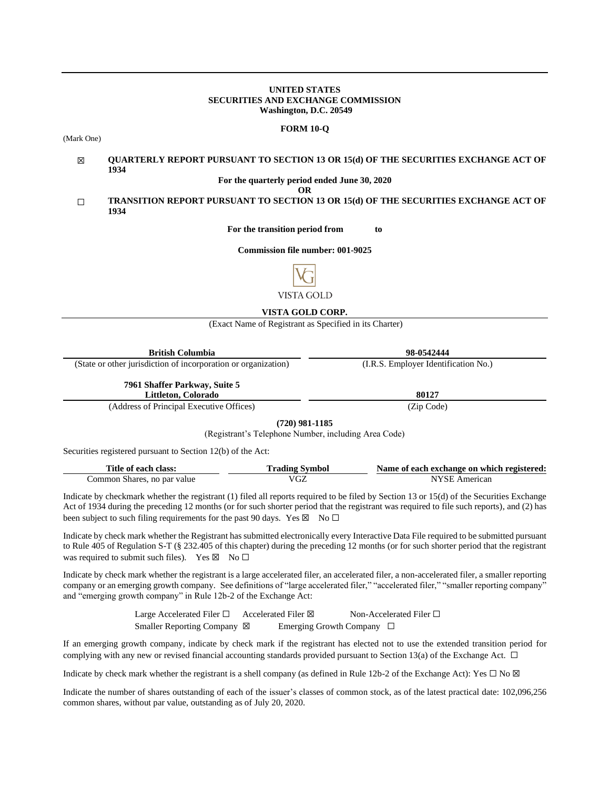### **UNITED STATES SECURITIES AND EXCHANGE COMMISSION Washington, D.C. 20549**

#### **FORM 10-Q**

(Mark One)

#### ☒ **QUARTERLY REPORT PURSUANT TO SECTION 13 OR 15(d) OF THE SECURITIES EXCHANGE ACT OF 1934**

**For the quarterly period ended June 30, 2020**

**OR**

## ☐ **TRANSITION REPORT PURSUANT TO SECTION 13 OR 15(d) OF THE SECURITIES EXCHANGE ACT OF 1934**

**For the transition period from to**

**Commission file number: 001-9025**



## **VISTA GOLD CORP.**

(Exact Name of Registrant as Specified in its Charter)

| <b>British Columbia</b>                                        | 98-0542444                           |
|----------------------------------------------------------------|--------------------------------------|
| (State or other jurisdiction of incorporation or organization) | (I.R.S. Employer Identification No.) |
| 7961 Shaffer Parkway, Suite 5<br>Littleton, Colorado           | 80127                                |
| $(11 \t{cm}^2 \t{cm}^2 \t{cm}^2 \t{cm}^2)$                     | (7.01)                               |

(Address of Principal Executive Offices) (Zip Code)

**(720) 981-1185**

(Registrant's Telephone Number, including Area Code)

Securities registered pursuant to Section 12(b) of the Act:

| Title of each class:        | <b>Trading Symbol</b> | Name of each exchange on which registered: |
|-----------------------------|-----------------------|--------------------------------------------|
| Common Shares, no par value | VGZ                   | NYSE American                              |

Indicate by checkmark whether the registrant (1) filed all reports required to be filed by Section 13 or 15(d) of the Securities Exchange Act of 1934 during the preceding 12 months (or for such shorter period that the registrant was required to file such reports), and (2) has been subject to such filing requirements for the past 90 days. Yes  $\boxtimes$  No  $\Box$ 

Indicate by check mark whether the Registrant has submitted electronically every Interactive Data File required to be submitted pursuant to Rule 405 of Regulation S-T (§ 232.405 of this chapter) during the preceding 12 months (or for such shorter period that the registrant was required to submit such files). Yes  $\boxtimes$  No  $\Box$ 

Indicate by check mark whether the registrant is a large accelerated filer, an accelerated filer, a non-accelerated filer, a smaller reporting company or an emerging growth company. See definitions of "large accelerated filer," "accelerated filer," "smaller reporting company" and "emerging growth company" in Rule 12b-2 of the Exchange Act:

> Large Accelerated Filer □ Accelerated Filer ⊠ Non-Accelerated Filer □ Smaller Reporting Company ⊠ Emerging Growth Company □

If an emerging growth company, indicate by check mark if the registrant has elected not to use the extended transition period for complying with any new or revised financial accounting standards provided pursuant to Section 13(a) of the Exchange Act.  $\Box$ 

Indicate by check mark whether the registrant is a shell company (as defined in Rule 12b-2 of the Exchange Act): Yes  $\Box$  No  $\boxtimes$ 

Indicate the number of shares outstanding of each of the issuer's classes of common stock, as of the latest practical date: 102,096,256 common shares, without par value, outstanding as of July 20, 2020.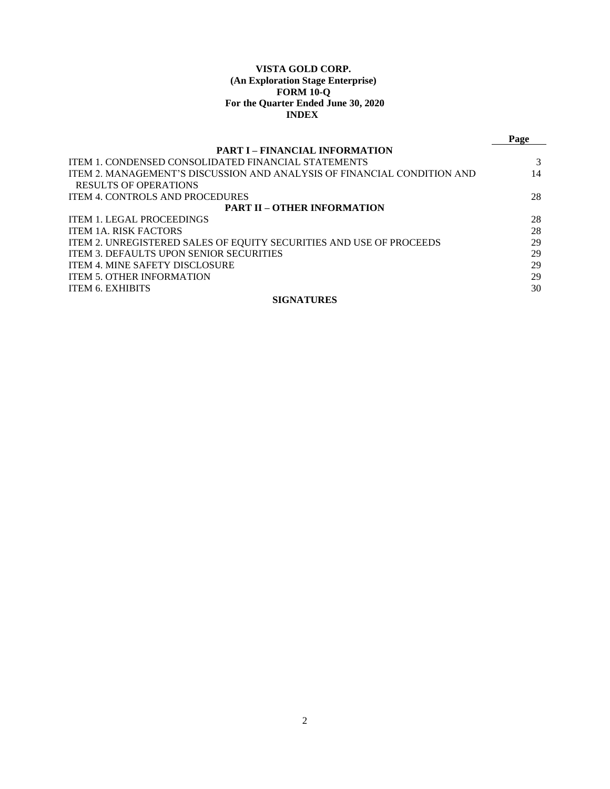## **VISTA GOLD CORP. (An Exploration Stage Enterprise) FORM 10-Q For the Quarter Ended June 30, 2020 INDEX**

|                                                                         | Page |  |  |  |  |  |
|-------------------------------------------------------------------------|------|--|--|--|--|--|
| <b>PART I – FINANCIAL INFORMATION</b>                                   |      |  |  |  |  |  |
| ITEM 1. CONDENSED CONSOLIDATED FINANCIAL STATEMENTS                     |      |  |  |  |  |  |
| ITEM 2. MANAGEMENT'S DISCUSSION AND ANALYSIS OF FINANCIAL CONDITION AND | 14   |  |  |  |  |  |
| RESULTS OF OPERATIONS                                                   |      |  |  |  |  |  |
| <b>ITEM 4. CONTROLS AND PROCEDURES</b>                                  | 28   |  |  |  |  |  |
| <b>PART II - OTHER INFORMATION</b>                                      |      |  |  |  |  |  |
| <b>ITEM 1. LEGAL PROCEEDINGS</b>                                        | 28   |  |  |  |  |  |
| <b>ITEM 1A. RISK FACTORS</b>                                            | 28   |  |  |  |  |  |
| ITEM 2. UNREGISTERED SALES OF EQUITY SECURITIES AND USE OF PROCEEDS     | 29   |  |  |  |  |  |
| <b>ITEM 3. DEFAULTS UPON SENIOR SECURITIES</b>                          | 29   |  |  |  |  |  |
| <b>ITEM 4. MINE SAFETY DISCLOSURE</b>                                   | 29   |  |  |  |  |  |
| <b>ITEM 5. OTHER INFORMATION</b>                                        | 29   |  |  |  |  |  |
| <b>ITEM 6. EXHIBITS</b>                                                 | 30   |  |  |  |  |  |
| <b>SIGNATURES</b>                                                       |      |  |  |  |  |  |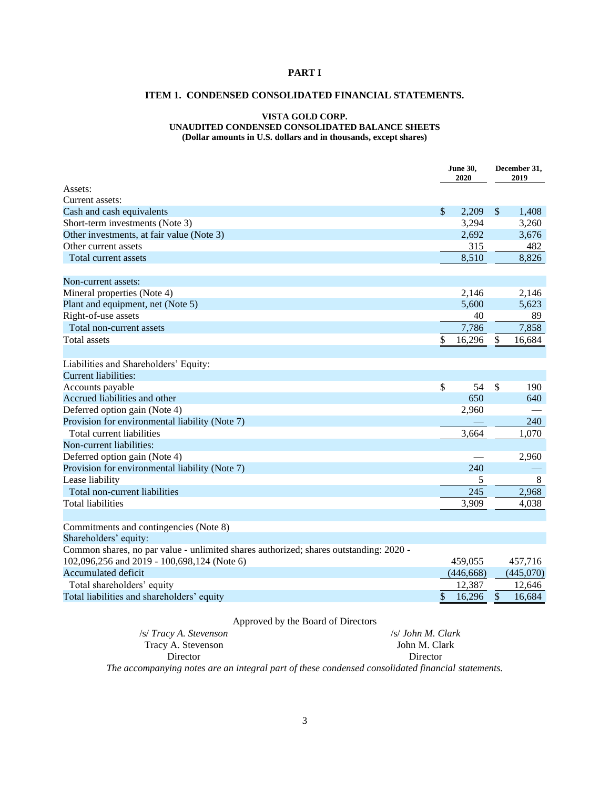## <span id="page-2-1"></span><span id="page-2-0"></span>**PART I**

## **ITEM 1. CONDENSED CONSOLIDATED FINANCIAL STATEMENTS.**

## **VISTA GOLD CORP.**

## **UNAUDITED CONDENSED CONSOLIDATED BALANCE SHEETS**

**(Dollar amounts in U.S. dollars and in thousands, except shares)**

|                                                                                       | <b>June 30,</b><br>2020 |            | December 31,<br>2019 |           |  |
|---------------------------------------------------------------------------------------|-------------------------|------------|----------------------|-----------|--|
| Assets:                                                                               |                         |            |                      |           |  |
| Current assets:                                                                       |                         |            |                      |           |  |
| Cash and cash equivalents                                                             | \$                      | 2,209      | $\mathcal{S}$        | 1,408     |  |
| Short-term investments (Note 3)                                                       |                         | 3,294      |                      | 3,260     |  |
| Other investments, at fair value (Note 3)                                             |                         | 2,692      |                      | 3,676     |  |
| Other current assets                                                                  |                         | 315        |                      | 482       |  |
| Total current assets                                                                  |                         | 8,510      |                      | 8,826     |  |
| Non-current assets:                                                                   |                         |            |                      |           |  |
| Mineral properties (Note 4)                                                           |                         | 2,146      |                      | 2,146     |  |
| Plant and equipment, net (Note 5)                                                     |                         | 5,600      |                      | 5,623     |  |
| Right-of-use assets                                                                   |                         | 40         |                      | 89        |  |
| Total non-current assets                                                              |                         | 7,786      |                      | 7,858     |  |
| <b>Total assets</b>                                                                   | \$                      | 16,296     | \$                   | 16,684    |  |
| Liabilities and Shareholders' Equity:                                                 |                         |            |                      |           |  |
| <b>Current liabilities:</b>                                                           |                         |            |                      |           |  |
| Accounts payable                                                                      | \$                      | 54         | \$                   | 190       |  |
| Accrued liabilities and other                                                         |                         | 650        |                      | 640       |  |
| Deferred option gain (Note 4)                                                         |                         | 2,960      |                      |           |  |
| Provision for environmental liability (Note 7)                                        |                         |            |                      | 240       |  |
| Total current liabilities                                                             |                         | 3,664      |                      | 1,070     |  |
| Non-current liabilities:                                                              |                         |            |                      |           |  |
| Deferred option gain (Note 4)                                                         |                         |            |                      | 2,960     |  |
| Provision for environmental liability (Note 7)                                        |                         | 240        |                      |           |  |
| Lease liability                                                                       |                         | 5          |                      | $\,8\,$   |  |
| Total non-current liabilities                                                         |                         | 245        |                      | 2,968     |  |
| <b>Total liabilities</b>                                                              |                         | 3,909      |                      | 4,038     |  |
|                                                                                       |                         |            |                      |           |  |
| Commitments and contingencies (Note 8)                                                |                         |            |                      |           |  |
| Shareholders' equity:                                                                 |                         |            |                      |           |  |
| Common shares, no par value - unlimited shares authorized; shares outstanding: 2020 - |                         |            |                      |           |  |
| 102,096,256 and 2019 - 100,698,124 (Note 6)                                           |                         | 459,055    |                      | 457,716   |  |
| Accumulated deficit                                                                   |                         | (446, 668) |                      | (445,070) |  |
| Total shareholders' equity                                                            |                         | 12,387     |                      | 12,646    |  |
| Total liabilities and shareholders' equity                                            | \$                      | 16,296     | \$                   | 16,684    |  |

## Approved by the Board of Directors

/s/ *Tracy A. Stevenson* Tracy A. Stevenson Director /s/ *John M. Clark* John M. Clark Director *The accompanying notes are an integral part of these condensed consolidated financial statements.*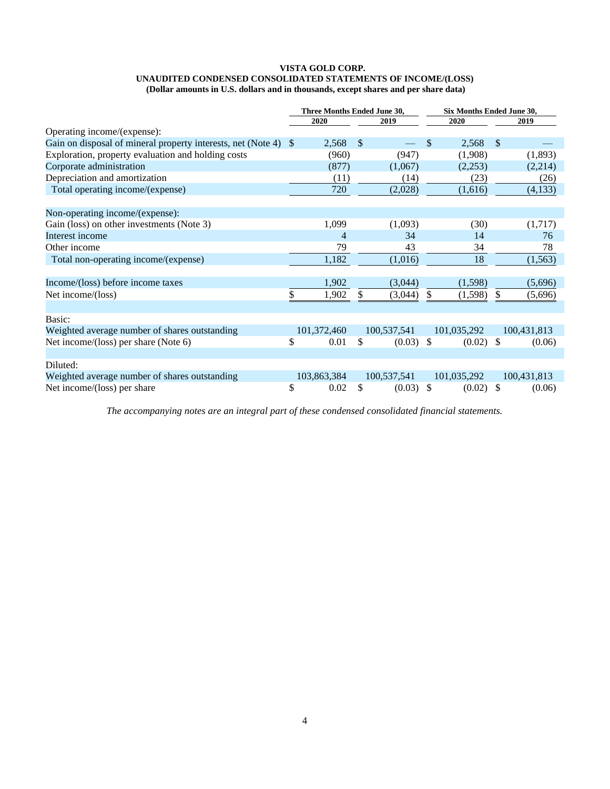#### **VISTA GOLD CORP. UNAUDITED CONDENSED CONSOLIDATED STATEMENTS OF INCOME/(LOSS) (Dollar amounts in U.S. dollars and in thousands, except shares and per share data)**

|                                                              |    | Three Months Ended June 30, |                           |             |                           | Six Months Ended June 30, |               |             |  |
|--------------------------------------------------------------|----|-----------------------------|---------------------------|-------------|---------------------------|---------------------------|---------------|-------------|--|
|                                                              |    | 2020                        |                           | 2019        |                           | 2020                      |               | 2019        |  |
| Operating income/(expense):                                  |    |                             |                           |             |                           |                           |               |             |  |
| Gain on disposal of mineral property interests, net (Note 4) | -S | 2,568                       | $\boldsymbol{\mathsf{S}}$ |             | \$                        | 2,568                     | $\mathcal{S}$ |             |  |
| Exploration, property evaluation and holding costs           |    | (960)                       |                           | (947)       |                           | (1,908)                   |               | (1,893)     |  |
| Corporate administration                                     |    | (877)                       |                           | (1,067)     |                           | (2,253)                   |               | (2,214)     |  |
| Depreciation and amortization                                |    | (11)                        |                           | (14)        |                           | (23)                      |               | (26)        |  |
| Total operating income/(expense)                             |    | 720                         |                           | (2,028)     |                           | (1,616)                   |               | (4,133)     |  |
| Non-operating income/(expense):                              |    |                             |                           |             |                           |                           |               |             |  |
| Gain (loss) on other investments (Note 3)                    |    | 1,099                       |                           | (1,093)     |                           | (30)                      |               | (1,717)     |  |
| Interest income                                              |    | 4                           |                           | 34          |                           | 14                        |               | 76          |  |
| Other income                                                 |    | 79                          |                           | 43          |                           | 34                        |               | 78          |  |
| Total non-operating income/(expense)                         |    | 1,182                       |                           | (1,016)     |                           | 18                        |               | (1, 563)    |  |
| Income/(loss) before income taxes                            |    | 1,902                       |                           | (3,044)     |                           | (1,598)                   |               | (5,696)     |  |
| Net income/(loss)                                            | \$ | 1,902                       | \$                        | (3,044)     | \$                        | (1,598)                   | \$            | (5,696)     |  |
| Basic:                                                       |    |                             |                           |             |                           |                           |               |             |  |
| Weighted average number of shares outstanding                |    | 101,372,460                 |                           | 100,537,541 |                           | 101,035,292               |               | 100,431,813 |  |
| Net income/(loss) per share (Note 6)                         | \$ | 0.01                        | \$                        | (0.03)      | $\boldsymbol{\mathsf{S}}$ | (0.02)                    | -S            | (0.06)      |  |
| Diluted:                                                     |    |                             |                           |             |                           |                           |               |             |  |
| Weighted average number of shares outstanding                |    | 103,863,384                 |                           | 100,537,541 |                           | 101,035,292               |               | 100,431,813 |  |
| Net income/(loss) per share                                  | \$ | 0.02                        | \$                        | (0.03)      | <sup>\$</sup>             | (0.02)                    | -S            | (0.06)      |  |

*The accompanying notes are an integral part of these condensed consolidated financial statements.*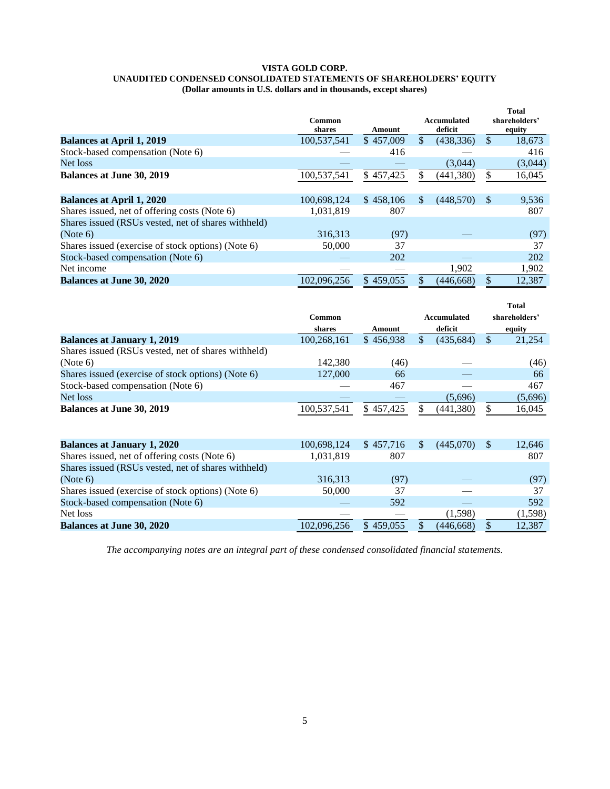#### **VISTA GOLD CORP. UNAUDITED CONDENSED CONSOLIDATED STATEMENTS OF SHAREHOLDERS' EQUITY (Dollar amounts in U.S. dollars and in thousands, except shares)**

|                                                     | Common<br>shares | Amount    | Accumulated<br>deficit |               | <b>Total</b><br>shareholders'<br>equity |
|-----------------------------------------------------|------------------|-----------|------------------------|---------------|-----------------------------------------|
| <b>Balances at April 1, 2019</b>                    | 100,537,541      | \$457,009 | \$<br>(438, 336)       | \$            | 18,673                                  |
| Stock-based compensation (Note 6)                   |                  | 416       |                        |               | 416                                     |
| Net loss                                            |                  |           | (3,044)                |               | (3,044)                                 |
| <b>Balances at June 30, 2019</b>                    | 100,537,541      | \$457,425 | (441, 380)             | \$            | 16,045                                  |
|                                                     |                  |           |                        |               |                                         |
| <b>Balances at April 1, 2020</b>                    | 100,698,124      | \$458,106 | \$<br>(448, 570)       | <sup>\$</sup> | 9,536                                   |
| Shares issued, net of offering costs (Note 6)       | 1,031,819        | 807       |                        |               | 807                                     |
| Shares issued (RSUs vested, net of shares withheld) |                  |           |                        |               |                                         |
| (Note 6)                                            | 316,313          | (97)      |                        |               | (97)                                    |
| Shares issued (exercise of stock options) (Note 6)  | 50,000           | 37        |                        |               | 37                                      |
| Stock-based compensation (Note 6)                   |                  | 202       |                        |               | 202                                     |
| Net income                                          |                  |           | 1,902                  |               | 1,902                                   |
| <b>Balances at June 30, 2020</b>                    | 102,096,256      | \$459,055 | (446.668)              |               | 12,387                                  |

|                                                     |             |           |               |                    |               | <b>Total</b>  |
|-----------------------------------------------------|-------------|-----------|---------------|--------------------|---------------|---------------|
|                                                     | Common      |           |               | <b>Accumulated</b> |               | shareholders' |
|                                                     | shares      | Amount    |               | deficit            |               | equity        |
| <b>Balances at January 1, 2019</b>                  | 100,268,161 | \$456,938 | $\mathcal{S}$ | (435, 684)         | $\mathcal{S}$ | 21,254        |
| Shares issued (RSUs vested, net of shares withheld) |             |           |               |                    |               |               |
| (Note 6)                                            | 142,380     | (46)      |               |                    |               | (46)          |
| Shares issued (exercise of stock options) (Note 6)  | 127,000     | 66        |               |                    |               | 66            |
| Stock-based compensation (Note 6)                   |             | 467       |               |                    |               | 467           |
| Net loss                                            |             |           |               | (5,696)            |               | (5,696)       |
| <b>Balances at June 30, 2019</b>                    | 100,537,541 | \$457,425 |               | (441, 380)         | \$            | 16,045        |
|                                                     |             |           |               |                    |               |               |
| <b>Balances at January 1, 2020</b>                  | 100,698,124 | \$457,716 | <sup>\$</sup> | (445,070)          | <sup>\$</sup> | 12,646        |
| Shares issued, net of offering costs (Note 6)       | 1,031,819   | 807       |               |                    |               | 807           |
| Shares issued (RSUs vested, net of shares withheld) |             |           |               |                    |               |               |
| (Note 6)                                            | 316,313     | (97)      |               |                    |               | (97)          |
| Shares issued (exercise of stock options) (Note 6)  | 50,000      | 37        |               |                    |               | 37            |
| Stock-based compensation (Note 6)                   |             | 592       |               |                    |               | 592           |
| Net loss                                            |             |           |               | (1,598)            |               | (1, 598)      |
| <b>Balances at June 30, 2020</b>                    | 102,096,256 | \$459,055 |               | (446, 668)         | \$            | 12,387        |

*The accompanying notes are an integral part of these condensed consolidated financial statements.*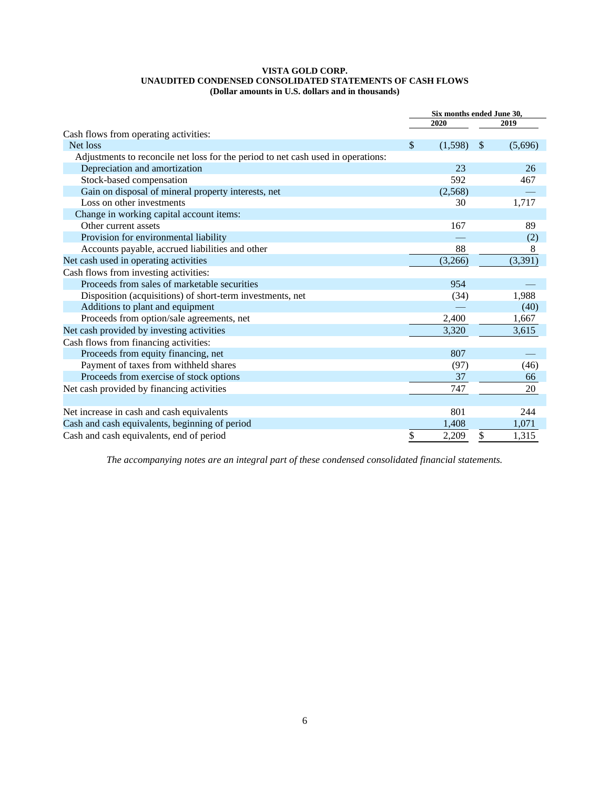#### **VISTA GOLD CORP. UNAUDITED CONDENSED CONSOLIDATED STATEMENTS OF CASH FLOWS (Dollar amounts in U.S. dollars and in thousands)**

|                                                                                  | Six months ended June 30, |         |               |         |
|----------------------------------------------------------------------------------|---------------------------|---------|---------------|---------|
|                                                                                  |                           | 2020    |               | 2019    |
| Cash flows from operating activities:                                            |                           |         |               |         |
| Net loss                                                                         | \$                        | (1,598) | $\mathcal{S}$ | (5,696) |
| Adjustments to reconcile net loss for the period to net cash used in operations: |                           |         |               |         |
| Depreciation and amortization                                                    |                           | 23      |               | 26      |
| Stock-based compensation                                                         |                           | 592     |               | 467     |
| Gain on disposal of mineral property interests, net                              |                           | (2,568) |               |         |
| Loss on other investments                                                        |                           | 30      |               | 1,717   |
| Change in working capital account items:                                         |                           |         |               |         |
| Other current assets                                                             |                           | 167     |               | 89      |
| Provision for environmental liability                                            |                           |         |               | (2)     |
| Accounts payable, accrued liabilities and other                                  |                           | 88      |               | 8       |
| Net cash used in operating activities                                            |                           | (3,266) |               | (3,391) |
| Cash flows from investing activities:                                            |                           |         |               |         |
| Proceeds from sales of marketable securities                                     |                           | 954     |               |         |
| Disposition (acquisitions) of short-term investments, net                        |                           | (34)    |               | 1,988   |
| Additions to plant and equipment                                                 |                           |         |               | (40)    |
| Proceeds from option/sale agreements, net                                        |                           | 2,400   |               | 1,667   |
| Net cash provided by investing activities                                        |                           | 3,320   |               | 3,615   |
| Cash flows from financing activities:                                            |                           |         |               |         |
| Proceeds from equity financing, net                                              |                           | 807     |               |         |
| Payment of taxes from withheld shares                                            |                           | (97)    |               | (46)    |
| Proceeds from exercise of stock options                                          |                           | 37      |               | 66      |
| Net cash provided by financing activities                                        |                           | 747     |               | 20      |
|                                                                                  |                           |         |               |         |
| Net increase in cash and cash equivalents                                        |                           | 801     |               | 244     |
| Cash and cash equivalents, beginning of period                                   |                           | 1.408   |               | 1,071   |
| Cash and cash equivalents, end of period                                         | \$                        | 2,209   | \$            | 1,315   |

*The accompanying notes are an integral part of these condensed consolidated financial statements.*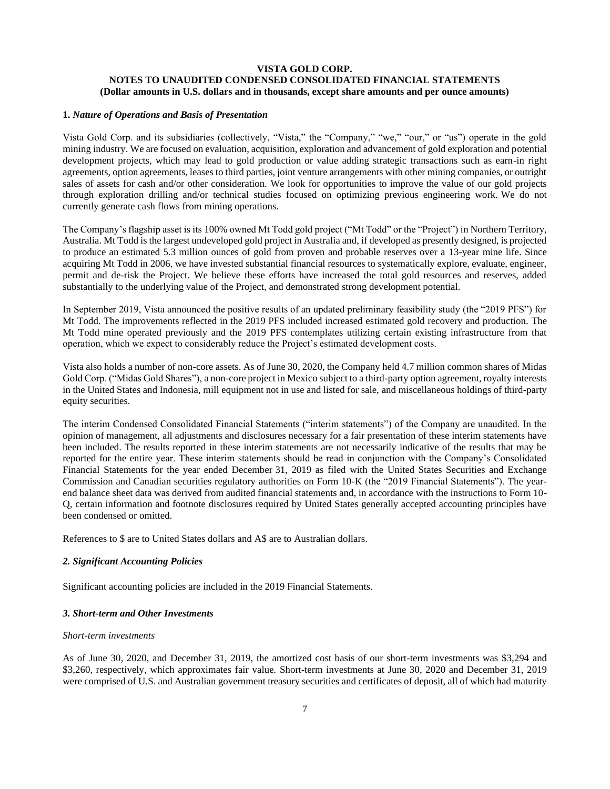## **VISTA GOLD CORP. NOTES TO UNAUDITED CONDENSED CONSOLIDATED FINANCIAL STATEMENTS (Dollar amounts in U.S. dollars and in thousands, except share amounts and per ounce amounts)**

## **1.** *Nature of Operations and Basis of Presentation*

Vista Gold Corp. and its subsidiaries (collectively, "Vista," the "Company," "we," "our," or "us") operate in the gold mining industry. We are focused on evaluation, acquisition, exploration and advancement of gold exploration and potential development projects, which may lead to gold production or value adding strategic transactions such as earn-in right agreements, option agreements, leases to third parties, joint venture arrangements with other mining companies, or outright sales of assets for cash and/or other consideration. We look for opportunities to improve the value of our gold projects through exploration drilling and/or technical studies focused on optimizing previous engineering work. We do not currently generate cash flows from mining operations.

The Company's flagship asset is its 100% owned Mt Todd gold project ("Mt Todd" or the "Project") in Northern Territory, Australia. Mt Todd is the largest undeveloped gold project in Australia and, if developed as presently designed, is projected to produce an estimated 5.3 million ounces of gold from proven and probable reserves over a 13-year mine life. Since acquiring Mt Todd in 2006, we have invested substantial financial resources to systematically explore, evaluate, engineer, permit and de-risk the Project. We believe these efforts have increased the total gold resources and reserves, added substantially to the underlying value of the Project, and demonstrated strong development potential.

In September 2019, Vista announced the positive results of an updated preliminary feasibility study (the "2019 PFS") for Mt Todd. The improvements reflected in the 2019 PFS included increased estimated gold recovery and production. The Mt Todd mine operated previously and the 2019 PFS contemplates utilizing certain existing infrastructure from that operation, which we expect to considerably reduce the Project's estimated development costs.

Vista also holds a number of non-core assets. As of June 30, 2020, the Company held 4.7 million common shares of Midas Gold Corp. ("Midas Gold Shares"), a non-core project in Mexico subject to a third-party option agreement, royalty interests in the United States and Indonesia, mill equipment not in use and listed for sale, and miscellaneous holdings of third-party equity securities.

The interim Condensed Consolidated Financial Statements ("interim statements") of the Company are unaudited. In the opinion of management, all adjustments and disclosures necessary for a fair presentation of these interim statements have been included. The results reported in these interim statements are not necessarily indicative of the results that may be reported for the entire year. These interim statements should be read in conjunction with the Company's Consolidated Financial Statements for the year ended December 31, 2019 as filed with the United States Securities and Exchange Commission and Canadian securities regulatory authorities on Form 10-K (the "2019 Financial Statements"). The yearend balance sheet data was derived from audited financial statements and, in accordance with the instructions to Form 10- Q, certain information and footnote disclosures required by United States generally accepted accounting principles have been condensed or omitted.

References to \$ are to United States dollars and A\$ are to Australian dollars.

## *2. Significant Accounting Policies*

Significant accounting policies are included in the 2019 Financial Statements.

## *3. Short-term and Other Investments*

#### *Short-term investments*

As of June 30, 2020, and December 31, 2019, the amortized cost basis of our short-term investments was \$3,294 and \$3,260, respectively, which approximates fair value. Short-term investments at June 30, 2020 and December 31, 2019 were comprised of U.S. and Australian government treasury securities and certificates of deposit, all of which had maturity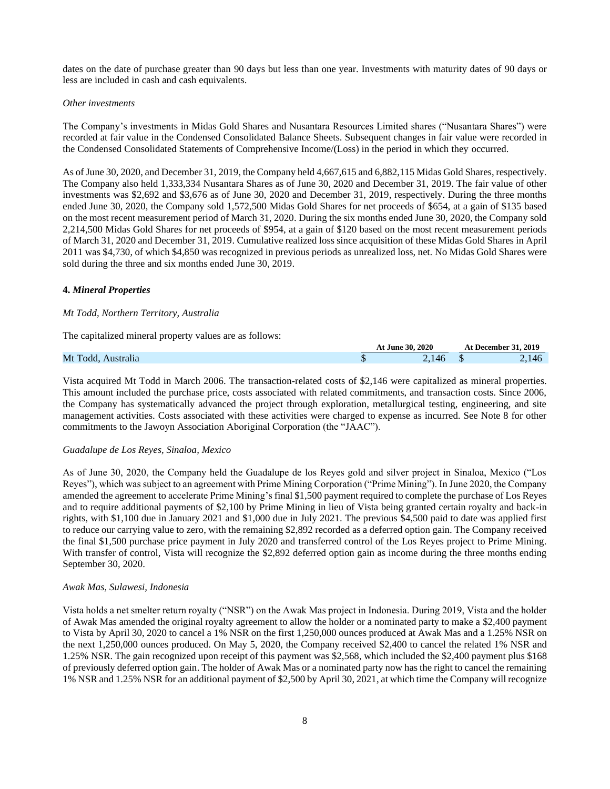dates on the date of purchase greater than 90 days but less than one year. Investments with maturity dates of 90 days or less are included in cash and cash equivalents.

#### *Other investments*

The Company's investments in Midas Gold Shares and Nusantara Resources Limited shares ("Nusantara Shares") were recorded at fair value in the Condensed Consolidated Balance Sheets. Subsequent changes in fair value were recorded in the Condensed Consolidated Statements of Comprehensive Income/(Loss) in the period in which they occurred.

As of June 30, 2020, and December 31, 2019, the Company held 4,667,615 and 6,882,115 Midas Gold Shares, respectively. The Company also held 1,333,334 Nusantara Shares as of June 30, 2020 and December 31, 2019. The fair value of other investments was \$2,692 and \$3,676 as of June 30, 2020 and December 31, 2019, respectively. During the three months ended June 30, 2020, the Company sold 1,572,500 Midas Gold Shares for net proceeds of \$654, at a gain of \$135 based on the most recent measurement period of March 31, 2020. During the six months ended June 30, 2020, the Company sold 2,214,500 Midas Gold Shares for net proceeds of \$954, at a gain of \$120 based on the most recent measurement periods of March 31, 2020 and December 31, 2019. Cumulative realized loss since acquisition of these Midas Gold Shares in April 2011 was \$4,730, of which \$4,850 was recognized in previous periods as unrealized loss, net. No Midas Gold Shares were sold during the three and six months ended June 30, 2019.

#### **4.** *Mineral Properties*

### *Mt Todd, Northern Territory, Australia*

The capitalized mineral property values are as follows:

|                    | <b>At June 30, 2020</b> | <b>At December 31, 2019</b> |
|--------------------|-------------------------|-----------------------------|
| Mt Todd, Australia | 146                     | $-146$                      |
|                    |                         |                             |

Vista acquired Mt Todd in March 2006. The transaction-related costs of \$2,146 were capitalized as mineral properties. This amount included the purchase price, costs associated with related commitments, and transaction costs. Since 2006, the Company has systematically advanced the project through exploration, metallurgical testing, engineering, and site management activities. Costs associated with these activities were charged to expense as incurred. See Note 8 for other commitments to the Jawoyn Association Aboriginal Corporation (the "JAAC").

#### *Guadalupe de Los Reyes, Sinaloa, Mexico*

As of June 30, 2020, the Company held the Guadalupe de los Reyes gold and silver project in Sinaloa, Mexico ("Los Reyes"), which was subject to an agreement with Prime Mining Corporation ("Prime Mining"). In June 2020, the Company amended the agreement to accelerate Prime Mining's final \$1,500 payment required to complete the purchase of Los Reyes and to require additional payments of \$2,100 by Prime Mining in lieu of Vista being granted certain royalty and back-in rights, with \$1,100 due in January 2021 and \$1,000 due in July 2021. The previous \$4,500 paid to date was applied first to reduce our carrying value to zero, with the remaining \$2,892 recorded as a deferred option gain. The Company received the final \$1,500 purchase price payment in July 2020 and transferred control of the Los Reyes project to Prime Mining. With transfer of control, Vista will recognize the \$2,892 deferred option gain as income during the three months ending September 30, 2020.

#### *Awak Mas, Sulawesi, Indonesia*

Vista holds a net smelter return royalty ("NSR") on the Awak Mas project in Indonesia. During 2019, Vista and the holder of Awak Mas amended the original royalty agreement to allow the holder or a nominated party to make a \$2,400 payment to Vista by April 30, 2020 to cancel a 1% NSR on the first 1,250,000 ounces produced at Awak Mas and a 1.25% NSR on the next 1,250,000 ounces produced. On May 5, 2020, the Company received \$2,400 to cancel the related 1% NSR and 1.25% NSR. The gain recognized upon receipt of this payment was \$2,568, which included the \$2,400 payment plus \$168 of previously deferred option gain. The holder of Awak Mas or a nominated party now has the right to cancel the remaining 1% NSR and 1.25% NSR for an additional payment of \$2,500 by April 30, 2021, at which time the Company will recognize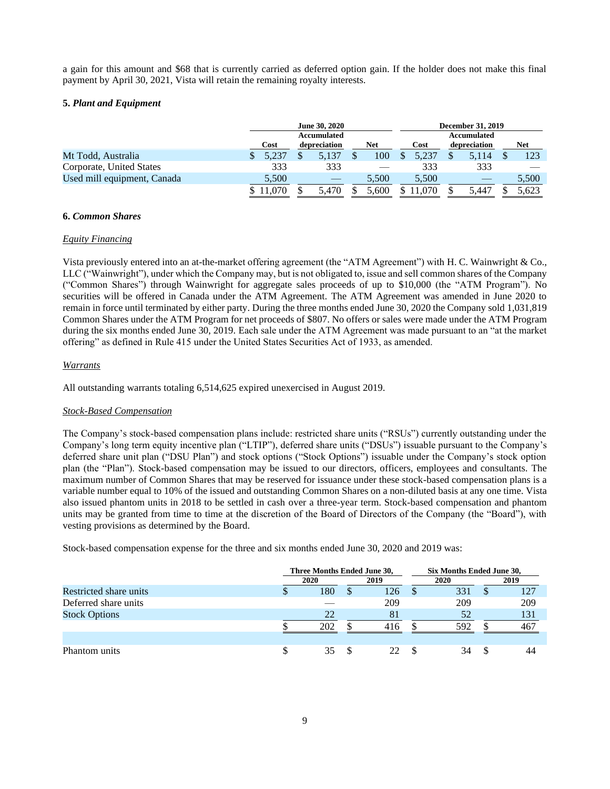a gain for this amount and \$68 that is currently carried as deferred option gain. If the holder does not make this final payment by April 30, 2021, Vista will retain the remaining royalty interests.

### **5.** *Plant and Equipment*

|                             |        | <b>June 30, 2020</b> |              |  |       |  | <b>December 31, 2019</b> |  |              |  |            |  |
|-----------------------------|--------|----------------------|--------------|--|-------|--|--------------------------|--|--------------|--|------------|--|
|                             |        | Accumulated          |              |  |       |  | <b>Accumulated</b>       |  |              |  |            |  |
|                             | Cost   |                      | depreciation |  | Net   |  | Cost                     |  | depreciation |  | <b>Net</b> |  |
| Mt Todd, Australia          | 5.237  |                      | 5.137        |  | 100   |  | 5.237                    |  | 5.114        |  | 123        |  |
| Corporate, United States    | 333    |                      | 333          |  |       |  | 333                      |  | 333          |  |            |  |
| Used mill equipment, Canada | 5,500  |                      |              |  | 5.500 |  | 5,500                    |  |              |  | 5,500      |  |
|                             | 11,070 |                      | 5.470        |  | 5.600 |  |                          |  | 5.447        |  | 5.623      |  |

### **6.** *Common Shares*

#### *Equity Financing*

Vista previously entered into an at-the-market offering agreement (the "ATM Agreement") with H. C. Wainwright & Co., LLC ("Wainwright"), under which the Company may, but is not obligated to, issue and sell common shares of the Company ("Common Shares") through Wainwright for aggregate sales proceeds of up to \$10,000 (the "ATM Program"). No securities will be offered in Canada under the ATM Agreement. The ATM Agreement was amended in June 2020 to remain in force until terminated by either party. During the three months ended June 30, 2020 the Company sold 1,031,819 Common Shares under the ATM Program for net proceeds of \$807. No offers or sales were made under the ATM Program during the six months ended June 30, 2019. Each sale under the ATM Agreement was made pursuant to an "at the market offering" as defined in Rule 415 under the United States Securities Act of 1933, as amended.

#### *Warrants*

All outstanding warrants totaling 6,514,625 expired unexercised in August 2019.

## *Stock-Based Compensation*

The Company's stock-based compensation plans include: restricted share units ("RSUs") currently outstanding under the Company's long term equity incentive plan ("LTIP"), deferred share units ("DSUs") issuable pursuant to the Company's deferred share unit plan ("DSU Plan") and stock options ("Stock Options") issuable under the Company's stock option plan (the "Plan"). Stock-based compensation may be issued to our directors, officers, employees and consultants. The maximum number of Common Shares that may be reserved for issuance under these stock-based compensation plans is a variable number equal to 10% of the issued and outstanding Common Shares on a non-diluted basis at any one time. Vista also issued phantom units in 2018 to be settled in cash over a three-year term. Stock-based compensation and phantom units may be granted from time to time at the discretion of the Board of Directors of the Company (the "Board"), with vesting provisions as determined by the Board.

Stock-based compensation expense for the three and six months ended June 30, 2020 and 2019 was:

|                        | Three Months Ended June 30, |    |      |  | Six Months Ended June 30, |   |      |  |
|------------------------|-----------------------------|----|------|--|---------------------------|---|------|--|
|                        | 2020                        |    | 2019 |  | 2020                      |   | 2019 |  |
| Restricted share units | 180                         | ۰D | 126  |  | 331                       | S | 127  |  |
| Deferred share units   |                             |    | 209  |  | 209                       |   | 209  |  |
| <b>Stock Options</b>   | 22                          |    | 81   |  | 52                        |   | 131  |  |
|                        | 202                         |    | 416  |  | 592                       |   | 467  |  |
|                        |                             |    |      |  |                           |   |      |  |
| Phantom units          | 35                          |    | 22   |  | 34                        |   | 44   |  |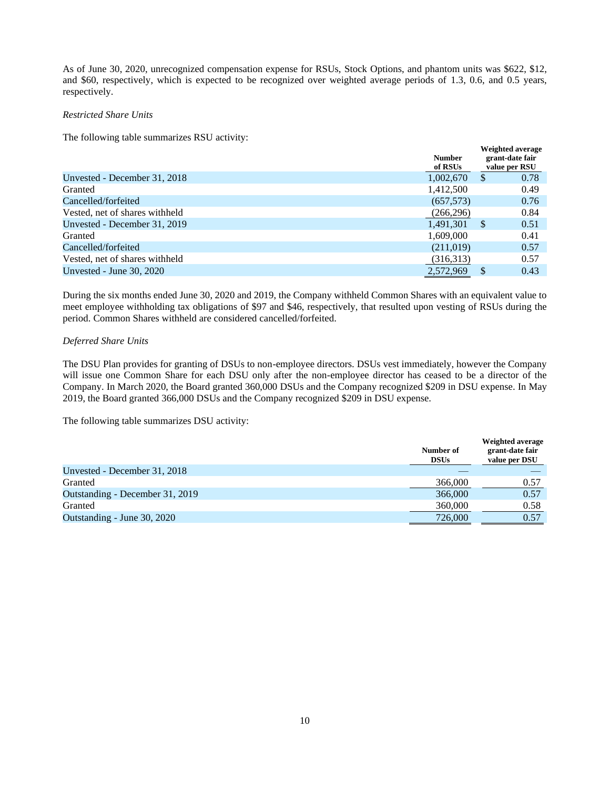As of June 30, 2020, unrecognized compensation expense for RSUs, Stock Options, and phantom units was \$622, \$12, and \$60, respectively, which is expected to be recognized over weighted average periods of 1.3, 0.6, and 0.5 years, respectively.

**Weighted average**

### *Restricted Share Units*

The following table summarizes RSU activity:

|                                | <b>Number</b><br>of RSUs | <i>v</i> eigned average<br>grant-date fair<br>value per RSU |
|--------------------------------|--------------------------|-------------------------------------------------------------|
| Unvested - December 31, 2018   | 1,002,670                | 0.78<br>\$                                                  |
| Granted                        | 1,412,500                | 0.49                                                        |
| Cancelled/forfeited            | (657,573)                | 0.76                                                        |
| Vested, net of shares withheld | (266, 296)               | 0.84                                                        |
| Unvested - December 31, 2019   | 1.491.301                | 0.51<br><sup>S</sup>                                        |
| Granted                        | 1,609,000                | 0.41                                                        |
| Cancelled/forfeited            | (211,019)                | 0.57                                                        |
| Vested, net of shares withheld | (316,313)                | 0.57                                                        |
| Unvested - June $30, 2020$     | 2,572,969                | 0.43<br><sup>S</sup>                                        |

During the six months ended June 30, 2020 and 2019, the Company withheld Common Shares with an equivalent value to meet employee withholding tax obligations of \$97 and \$46, respectively, that resulted upon vesting of RSUs during the period. Common Shares withheld are considered cancelled/forfeited.

## *Deferred Share Units*

The DSU Plan provides for granting of DSUs to non-employee directors. DSUs vest immediately, however the Company will issue one Common Share for each DSU only after the non-employee director has ceased to be a director of the Company. In March 2020, the Board granted 360,000 DSUs and the Company recognized \$209 in DSU expense. In May 2019, the Board granted 366,000 DSUs and the Company recognized \$209 in DSU expense.

The following table summarizes DSU activity:

|                                 | Number of<br><b>DSUs</b> | <b>Weighted average</b><br>grant-date fair<br>value per DSU |
|---------------------------------|--------------------------|-------------------------------------------------------------|
| Unvested - December 31, 2018    |                          |                                                             |
| Granted                         | 366,000                  | 0.57                                                        |
| Outstanding - December 31, 2019 | 366,000                  | 0.57                                                        |
| Granted                         | 360,000                  | 0.58                                                        |
| Outstanding - June 30, 2020     | 726,000                  | 0.57                                                        |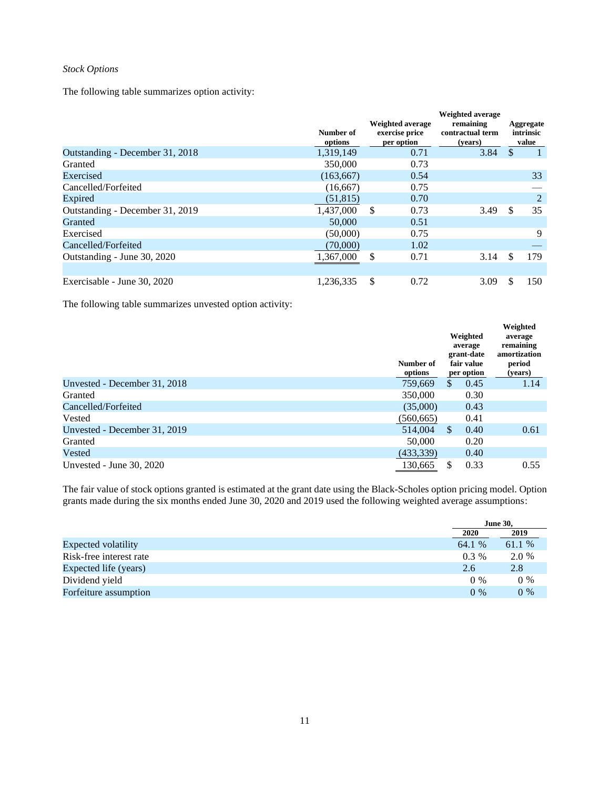## *Stock Options*

The following table summarizes option activity:

|                                 | Number of<br>options | <b>Weighted average</b><br>exercise price<br>per option | <b>Weighted average</b><br>remaining<br>contractual term<br>(vears) | Aggregate<br>intrinsic<br>value |
|---------------------------------|----------------------|---------------------------------------------------------|---------------------------------------------------------------------|---------------------------------|
| Outstanding - December 31, 2018 | 1,319,149            | 0.71                                                    | 3.84                                                                | <sup>\$</sup>                   |
| Granted                         | 350,000              | 0.73                                                    |                                                                     |                                 |
| Exercised                       | (163, 667)           | 0.54                                                    |                                                                     | 33                              |
| Cancelled/Forfeited             | (16,667)             | 0.75                                                    |                                                                     |                                 |
| Expired                         | (51, 815)            | 0.70                                                    |                                                                     | $\overline{2}$                  |
| Outstanding - December 31, 2019 | 1,437,000            | S.<br>0.73                                              | 3.49                                                                | 35<br>\$                        |
| Granted                         | 50,000               | 0.51                                                    |                                                                     |                                 |
| Exercised                       | (50,000)             | 0.75                                                    |                                                                     | 9                               |
| Cancelled/Forfeited             | (70,000)             | 1.02                                                    |                                                                     |                                 |
| Outstanding - June 30, 2020     | 1,367,000            | \$<br>0.71                                              | 3.14                                                                | 179<br>S                        |
| Exercisable - June 30, 2020     | 1,236,335            | \$<br>0.72                                              | 3.09                                                                | \$<br>150                       |

The following table summarizes unvested option activity:

|                              | Number of<br>options | Weighted<br>average<br>grant-date<br>fair value<br>per option | Weighted<br>average<br>remaining<br>amortization<br>period<br>(years) |
|------------------------------|----------------------|---------------------------------------------------------------|-----------------------------------------------------------------------|
| Unvested - December 31, 2018 | 759,669              | 0.45<br>S.                                                    | 1.14                                                                  |
| Granted                      | 350,000              | 0.30                                                          |                                                                       |
| Cancelled/Forfeited          | (35,000)             | 0.43                                                          |                                                                       |
| Vested                       | (560, 665)           | 0.41                                                          |                                                                       |
| Unvested - December 31, 2019 | 514,004              | <sup>\$</sup><br>0.40                                         | 0.61                                                                  |
| Granted                      | 50,000               | 0.20                                                          |                                                                       |
| Vested                       | (433,339)            | 0.40                                                          |                                                                       |
| Unvested - June $30, 2020$   | 130,665              | 0.33                                                          | 0.55                                                                  |

The fair value of stock options granted is estimated at the grant date using the Black-Scholes option pricing model. Option grants made during the six months ended June 30, 2020 and 2019 used the following weighted average assumptions:

|                            |         | <b>June 30,</b> |
|----------------------------|---------|-----------------|
|                            | 2020    | 2019            |
| <b>Expected volatility</b> | 64.1 %  | 61.1 %          |
| Risk-free interest rate    | $0.3\%$ | 2.0 %           |
| Expected life (years)      | 2.6     | 2.8             |
| Dividend yield             | $0\%$   | $0\%$           |
| Forfeiture assumption      | $0\%$   | $0\%$           |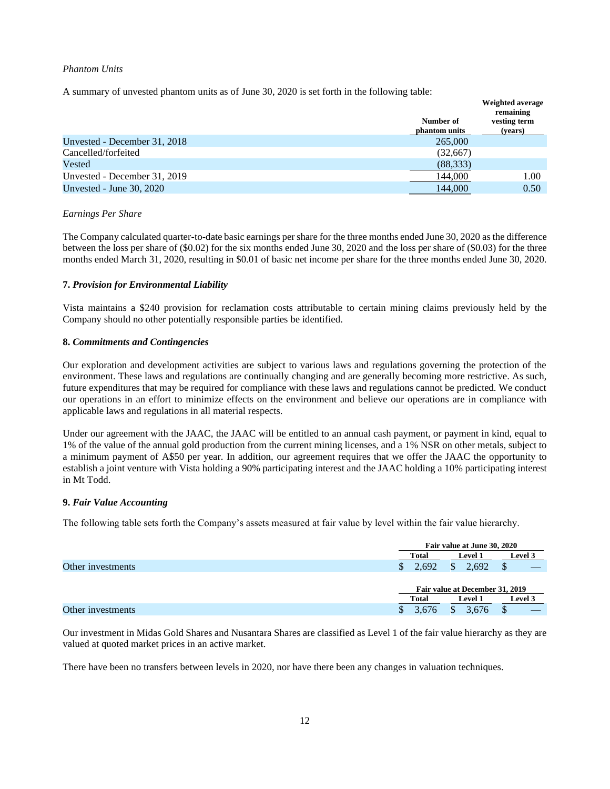#### *Phantom Units*

A summary of unvested phantom units as of June 30, 2020 is set forth in the following table:

|                              |               | Weighted average<br>remaining |
|------------------------------|---------------|-------------------------------|
|                              | Number of     | vesting term                  |
|                              | phantom units | (years)                       |
| Unvested - December 31, 2018 | 265,000       |                               |
| Cancelled/forfeited          | (32,667)      |                               |
| Vested                       | (88, 333)     |                               |
| Unvested - December 31, 2019 | 144,000       | 1.00                          |
| Unvested - June $30, 2020$   | 144,000       | 0.50                          |

#### *Earnings Per Share*

The Company calculated quarter-to-date basic earnings per share for the three months ended June 30, 2020 asthe difference between the loss per share of (\$0.02) for the six months ended June 30, 2020 and the loss per share of (\$0.03) for the three months ended March 31, 2020, resulting in \$0.01 of basic net income per share for the three months ended June 30, 2020.

## **7.** *Provision for Environmental Liability*

Vista maintains a \$240 provision for reclamation costs attributable to certain mining claims previously held by the Company should no other potentially responsible parties be identified.

## **8.** *Commitments and Contingencies*

Our exploration and development activities are subject to various laws and regulations governing the protection of the environment. These laws and regulations are continually changing and are generally becoming more restrictive. As such, future expenditures that may be required for compliance with these laws and regulations cannot be predicted. We conduct our operations in an effort to minimize effects on the environment and believe our operations are in compliance with applicable laws and regulations in all material respects.

Under our agreement with the JAAC, the JAAC will be entitled to an annual cash payment, or payment in kind, equal to 1% of the value of the annual gold production from the current mining licenses, and a 1% NSR on other metals, subject to a minimum payment of A\$50 per year. In addition, our agreement requires that we offer the JAAC the opportunity to establish a joint venture with Vista holding a 90% participating interest and the JAAC holding a 10% participating interest in Mt Todd.

## **9.** *Fair Value Accounting*

The following table sets forth the Company's assets measured at fair value by level within the fair value hierarchy.

|                   |              | Fair value at June 30, 2020     |                |  |  |  |  |  |
|-------------------|--------------|---------------------------------|----------------|--|--|--|--|--|
|                   | <b>Total</b> | <b>Level 1</b>                  | <b>Level 3</b> |  |  |  |  |  |
| Other investments | 2.692        | 2.692                           |                |  |  |  |  |  |
|                   |              | Fair value at December 31, 2019 |                |  |  |  |  |  |
|                   | <b>Total</b> | <b>Level 1</b>                  |                |  |  |  |  |  |
| Other investments | 3.676<br>J.  | 3.676                           |                |  |  |  |  |  |

Our investment in Midas Gold Shares and Nusantara Shares are classified as Level 1 of the fair value hierarchy as they are valued at quoted market prices in an active market.

There have been no transfers between levels in 2020, nor have there been any changes in valuation techniques.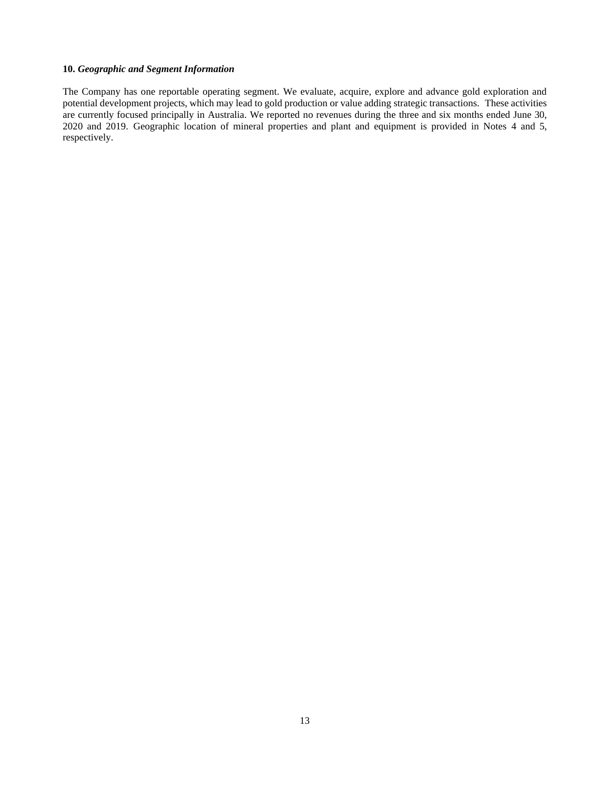## **10.** *Geographic and Segment Information*

The Company has one reportable operating segment. We evaluate, acquire, explore and advance gold exploration and potential development projects, which may lead to gold production or value adding strategic transactions. These activities are currently focused principally in Australia. We reported no revenues during the three and six months ended June 30, 2020 and 2019. Geographic location of mineral properties and plant and equipment is provided in Notes 4 and 5, respectively.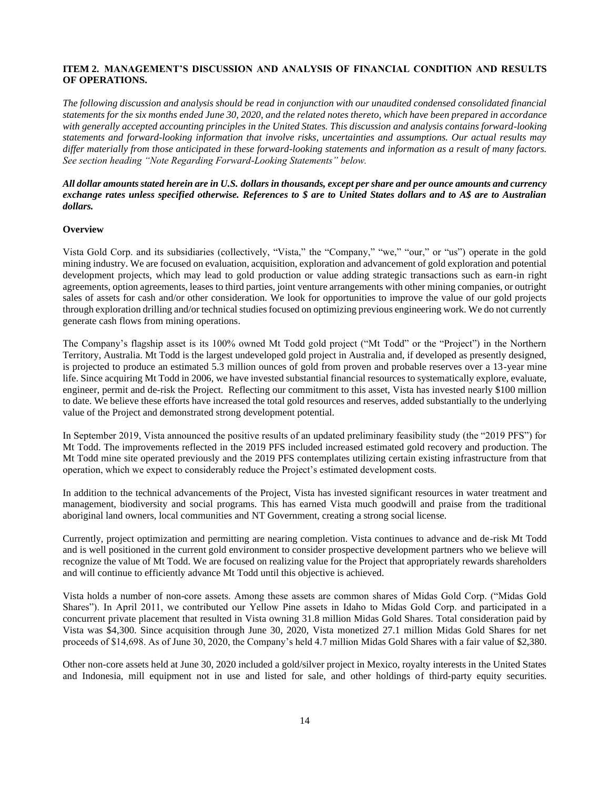## <span id="page-13-0"></span>**ITEM 2. MANAGEMENT'S DISCUSSION AND ANALYSIS OF FINANCIAL CONDITION AND RESULTS OF OPERATIONS.**

*The following discussion and analysis should be read in conjunction with our unaudited condensed consolidated financial statements for the six months ended June 30, 2020, and the related notes thereto, which have been prepared in accordance with generally accepted accounting principles in the United States. This discussion and analysis contains forward-looking statements and forward-looking information that involve risks, uncertainties and assumptions. Our actual results may differ materially from those anticipated in these forward-looking statements and information as a result of many factors. See section heading "Note Regarding Forward-Looking Statements" below.*

## *All dollar amounts stated herein are in U.S. dollars in thousands, except per share and per ounce amounts and currency exchange rates unless specified otherwise. References to \$ are to United States dollars and to A\$ are to Australian dollars.*

## **Overview**

Vista Gold Corp. and its subsidiaries (collectively, "Vista," the "Company," "we," "our," or "us") operate in the gold mining industry. We are focused on evaluation, acquisition, exploration and advancement of gold exploration and potential development projects, which may lead to gold production or value adding strategic transactions such as earn-in right agreements, option agreements, leases to third parties, joint venture arrangements with other mining companies, or outright sales of assets for cash and/or other consideration. We look for opportunities to improve the value of our gold projects through exploration drilling and/or technical studies focused on optimizing previous engineering work. We do not currently generate cash flows from mining operations.

The Company's flagship asset is its 100% owned Mt Todd gold project ("Mt Todd" or the "Project") in the Northern Territory, Australia. Mt Todd is the largest undeveloped gold project in Australia and, if developed as presently designed, is projected to produce an estimated 5.3 million ounces of gold from proven and probable reserves over a 13-year mine life. Since acquiring Mt Todd in 2006, we have invested substantial financial resources to systematically explore, evaluate, engineer, permit and de-risk the Project. Reflecting our commitment to this asset, Vista has invested nearly \$100 million to date. We believe these efforts have increased the total gold resources and reserves, added substantially to the underlying value of the Project and demonstrated strong development potential.

In September 2019, Vista announced the positive results of an updated preliminary feasibility study (the "2019 PFS") for Mt Todd. The improvements reflected in the 2019 PFS included increased estimated gold recovery and production. The Mt Todd mine site operated previously and the 2019 PFS contemplates utilizing certain existing infrastructure from that operation, which we expect to considerably reduce the Project's estimated development costs.

In addition to the technical advancements of the Project, Vista has invested significant resources in water treatment and management, biodiversity and social programs. This has earned Vista much goodwill and praise from the traditional aboriginal land owners, local communities and NT Government, creating a strong social license.

Currently, project optimization and permitting are nearing completion. Vista continues to advance and de-risk Mt Todd and is well positioned in the current gold environment to consider prospective development partners who we believe will recognize the value of Mt Todd. We are focused on realizing value for the Project that appropriately rewards shareholders and will continue to efficiently advance Mt Todd until this objective is achieved.

Vista holds a number of non-core assets. Among these assets are common shares of Midas Gold Corp. ("Midas Gold Shares"). In April 2011, we contributed our Yellow Pine assets in Idaho to Midas Gold Corp. and participated in a concurrent private placement that resulted in Vista owning 31.8 million Midas Gold Shares. Total consideration paid by Vista was \$4,300. Since acquisition through June 30, 2020, Vista monetized 27.1 million Midas Gold Shares for net proceeds of \$14,698. As of June 30, 2020, the Company's held 4.7 million Midas Gold Shares with a fair value of \$2,380.

Other non-core assets held at June 30, 2020 included a gold/silver project in Mexico, royalty interests in the United States and Indonesia, mill equipment not in use and listed for sale, and other holdings of third-party equity securities.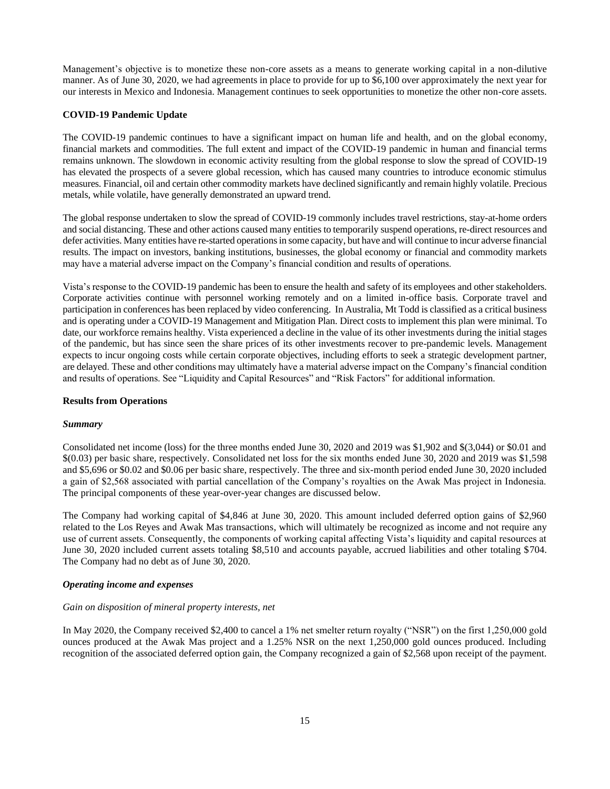Management's objective is to monetize these non-core assets as a means to generate working capital in a non-dilutive manner. As of June 30, 2020, we had agreements in place to provide for up to \$6,100 over approximately the next year for our interests in Mexico and Indonesia. Management continues to seek opportunities to monetize the other non-core assets.

## **COVID-19 Pandemic Update**

The COVID-19 pandemic continues to have a significant impact on human life and health, and on the global economy, financial markets and commodities. The full extent and impact of the COVID-19 pandemic in human and financial terms remains unknown. The slowdown in economic activity resulting from the global response to slow the spread of COVID-19 has elevated the prospects of a severe global recession, which has caused many countries to introduce economic stimulus measures. Financial, oil and certain other commodity markets have declined significantly and remain highly volatile. Precious metals, while volatile, have generally demonstrated an upward trend.

The global response undertaken to slow the spread of COVID-19 commonly includes travel restrictions, stay-at-home orders and social distancing. These and other actions caused many entities to temporarily suspend operations, re-direct resources and defer activities. Many entities have re-started operations in some capacity, but have and will continue to incur adverse financial results. The impact on investors, banking institutions, businesses, the global economy or financial and commodity markets may have a material adverse impact on the Company's financial condition and results of operations.

Vista's response to the COVID-19 pandemic has been to ensure the health and safety of its employees and other stakeholders. Corporate activities continue with personnel working remotely and on a limited in-office basis. Corporate travel and participation in conferences has been replaced by video conferencing. In Australia, Mt Todd is classified as a critical business and is operating under a COVID-19 Management and Mitigation Plan. Direct costs to implement this plan were minimal. To date, our workforce remains healthy. Vista experienced a decline in the value of its other investments during the initial stages of the pandemic, but has since seen the share prices of its other investments recover to pre-pandemic levels. Management expects to incur ongoing costs while certain corporate objectives, including efforts to seek a strategic development partner, are delayed. These and other conditions may ultimately have a material adverse impact on the Company's financial condition and results of operations. See "Liquidity and Capital Resources" and "Risk Factors" for additional information.

## **Results from Operations**

## *Summary*

Consolidated net income (loss) for the three months ended June 30, 2020 and 2019 was \$1,902 and \$(3,044) or \$0.01 and \$(0.03) per basic share, respectively. Consolidated net loss for the six months ended June 30, 2020 and 2019 was \$1,598 and \$5,696 or \$0.02 and \$0.06 per basic share, respectively. The three and six-month period ended June 30, 2020 included a gain of \$2,568 associated with partial cancellation of the Company's royalties on the Awak Mas project in Indonesia. The principal components of these year-over-year changes are discussed below.

The Company had working capital of \$4,846 at June 30, 2020. This amount included deferred option gains of \$2,960 related to the Los Reyes and Awak Mas transactions, which will ultimately be recognized as income and not require any use of current assets. Consequently, the components of working capital affecting Vista's liquidity and capital resources at June 30, 2020 included current assets totaling \$8,510 and accounts payable, accrued liabilities and other totaling \$704. The Company had no debt as of June 30, 2020.

## *Operating income and expenses*

#### *Gain on disposition of mineral property interests, net*

In May 2020, the Company received \$2,400 to cancel a 1% net smelter return royalty ("NSR") on the first 1,250,000 gold ounces produced at the Awak Mas project and a 1.25% NSR on the next 1,250,000 gold ounces produced. Including recognition of the associated deferred option gain, the Company recognized a gain of \$2,568 upon receipt of the payment.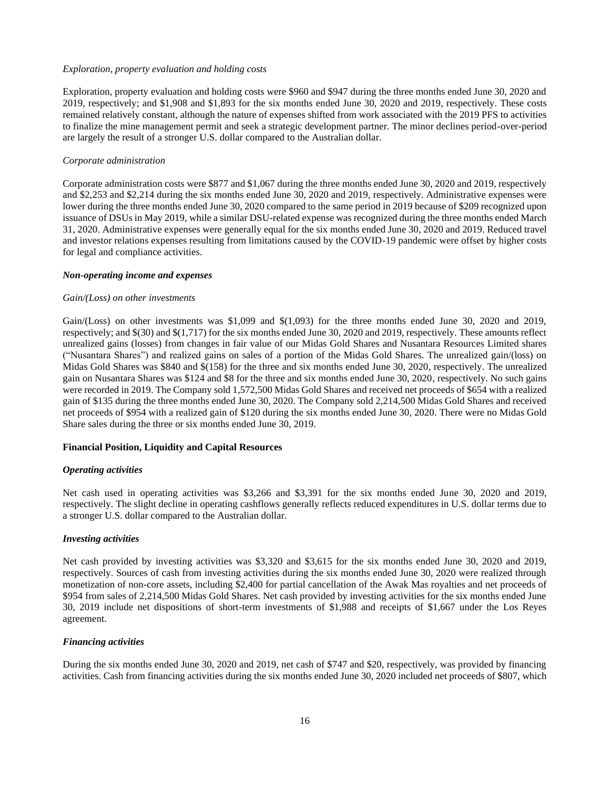#### *Exploration, property evaluation and holding costs*

Exploration, property evaluation and holding costs were \$960 and \$947 during the three months ended June 30, 2020 and 2019, respectively; and \$1,908 and \$1,893 for the six months ended June 30, 2020 and 2019, respectively. These costs remained relatively constant, although the nature of expenses shifted from work associated with the 2019 PFS to activities to finalize the mine management permit and seek a strategic development partner. The minor declines period-over-period are largely the result of a stronger U.S. dollar compared to the Australian dollar.

#### *Corporate administration*

Corporate administration costs were \$877 and \$1,067 during the three months ended June 30, 2020 and 2019, respectively and \$2,253 and \$2,214 during the six months ended June 30, 2020 and 2019, respectively. Administrative expenses were lower during the three months ended June 30, 2020 compared to the same period in 2019 because of \$209 recognized upon issuance of DSUs in May 2019, while a similar DSU-related expense was recognized during the three months ended March 31, 2020. Administrative expenses were generally equal for the six months ended June 30, 2020 and 2019. Reduced travel and investor relations expenses resulting from limitations caused by the COVID-19 pandemic were offset by higher costs for legal and compliance activities.

#### *Non-operating income and expenses*

#### *Gain/(Loss) on other investments*

Gain/(Loss) on other investments was \$1,099 and \$(1,093) for the three months ended June 30, 2020 and 2019, respectively; and \$(30) and \$(1,717) for the six months ended June 30, 2020 and 2019, respectively. These amounts reflect unrealized gains (losses) from changes in fair value of our Midas Gold Shares and Nusantara Resources Limited shares ("Nusantara Shares") and realized gains on sales of a portion of the Midas Gold Shares. The unrealized gain/(loss) on Midas Gold Shares was \$840 and \$(158) for the three and six months ended June 30, 2020, respectively. The unrealized gain on Nusantara Shares was \$124 and \$8 for the three and six months ended June 30, 2020, respectively. No such gains were recorded in 2019. The Company sold 1,572,500 Midas Gold Shares and received net proceeds of \$654 with a realized gain of \$135 during the three months ended June 30, 2020. The Company sold 2,214,500 Midas Gold Shares and received net proceeds of \$954 with a realized gain of \$120 during the six months ended June 30, 2020. There were no Midas Gold Share sales during the three or six months ended June 30, 2019.

#### **Financial Position, Liquidity and Capital Resources**

#### *Operating activities*

Net cash used in operating activities was \$3,266 and \$3,391 for the six months ended June 30, 2020 and 2019, respectively. The slight decline in operating cashflows generally reflects reduced expenditures in U.S. dollar terms due to a stronger U.S. dollar compared to the Australian dollar.

#### *Investing activities*

Net cash provided by investing activities was \$3,320 and \$3,615 for the six months ended June 30, 2020 and 2019, respectively. Sources of cash from investing activities during the six months ended June 30, 2020 were realized through monetization of non-core assets, including \$2,400 for partial cancellation of the Awak Mas royalties and net proceeds of \$954 from sales of 2,214,500 Midas Gold Shares. Net cash provided by investing activities for the six months ended June 30, 2019 include net dispositions of short-term investments of \$1,988 and receipts of \$1,667 under the Los Reyes agreement.

#### *Financing activities*

During the six months ended June 30, 2020 and 2019, net cash of \$747 and \$20, respectively, was provided by financing activities. Cash from financing activities during the six months ended June 30, 2020 included net proceeds of \$807, which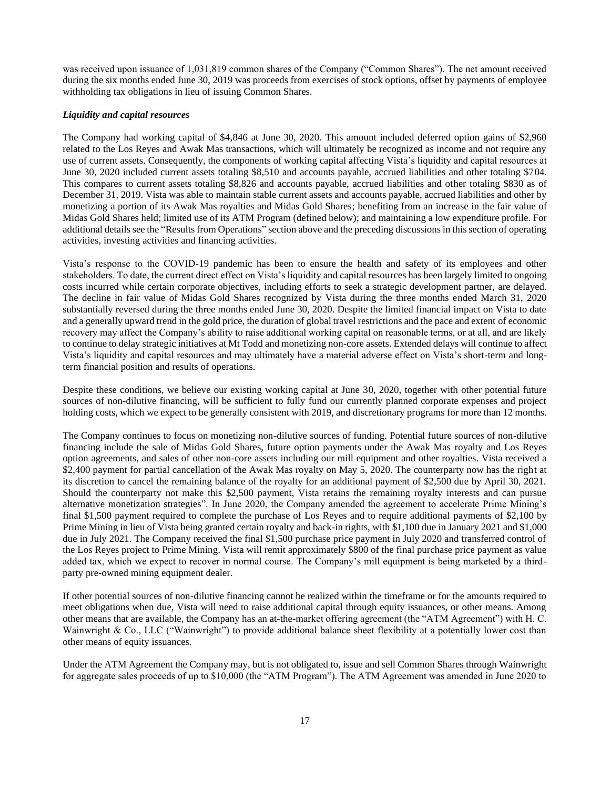was received upon issuance of 1,031,819 common shares of the Company ("Common Shares"). The net amount received during the six months ended June 30, 2019 was proceeds from exercises of stock options, offset by payments of employee withholding tax obligations in lieu of issuing Common Shares.

#### *Liquidity and capital resources*

The Company had working capital of \$4,846 at June 30, 2020. This amount included deferred option gains of \$2,960 related to the Los Reyes and Awak Mas transactions, which will ultimately be recognized as income and not require any use of current assets. Consequently, the components of working capital affecting Vista's liquidity and capital resources at June 30, 2020 included current assets totaling \$8,510 and accounts payable, accrued liabilities and other totaling \$704. This compares to current assets totaling \$8,826 and accounts payable, accrued liabilities and other totaling \$830 as of December 31, 2019. Vista was able to maintain stable current assets and accounts payable, accrued liabilities and other by monetizing a portion of its Awak Mas royalties and Midas Gold Shares; benefiting from an increase in the fair value of Midas Gold Shares held; limited use of its ATM Program (defined below); and maintaining a low expenditure profile. For additional details see the "Results from Operations" section above and the preceding discussions in this section of operating activities, investing activities and financing activities.

Vista's response to the COVID-19 pandemic has been to ensure the health and safety of its employees and other stakeholders. To date, the current direct effect on Vista's liquidity and capital resources has been largely limited to ongoing costs incurred while certain corporate objectives, including efforts to seek a strategic development partner, are delayed. The decline in fair value of Midas Gold Shares recognized by Vista during the three months ended March 31, 2020 substantially reversed during the three months ended June 30, 2020. Despite the limited financial impact on Vista to date and a generally upward trend in the gold price, the duration of global travel restrictions and the pace and extent of economic recovery may affect the Company's ability to raise additional working capital on reasonable terms, or at all, and are likely to continue to delay strategic initiatives at Mt Todd and monetizing non-core assets. Extended delays will continue to affect Vista's liquidity and capital resources and may ultimately have a material adverse effect on Vista's short-term and longterm financial position and results of operations.

Despite these conditions, we believe our existing working capital at June 30, 2020, together with other potential future sources of non-dilutive financing, will be sufficient to fully fund our currently planned corporate expenses and project holding costs, which we expect to be generally consistent with 2019, and discretionary programs for more than 12 months.

The Company continues to focus on monetizing non-dilutive sources of funding. Potential future sources of non-dilutive financing include the sale of Midas Gold Shares, future option payments under the Awak Mas royalty and Los Reyes option agreements, and sales of other non-core assets including our mill equipment and other royalties. Vista received a \$2,400 payment for partial cancellation of the Awak Mas royalty on May 5, 2020. The counterparty now has the right at its discretion to cancel the remaining balance of the royalty for an additional payment of \$2,500 due by April 30, 2021. Should the counterparty not make this \$2,500 payment, Vista retains the remaining royalty interests and can pursue alternative monetization strategies". In June 2020, the Company amended the agreement to accelerate Prime Mining's final \$1,500 payment required to complete the purchase of Los Reyes and to require additional payments of \$2,100 by Prime Mining in lieu of Vista being granted certain royalty and back-in rights, with \$1,100 due in January 2021 and \$1,000 due in July 2021. The Company received the final \$1,500 purchase price payment in July 2020 and transferred control of the Los Reyes project to Prime Mining. Vista will remit approximately \$800 of the final purchase price payment as value added tax, which we expect to recover in normal course. The Company's mill equipment is being marketed by a thirdparty pre-owned mining equipment dealer.

If other potential sources of non-dilutive financing cannot be realized within the timeframe or for the amounts required to meet obligations when due, Vista will need to raise additional capital through equity issuances, or other means. Among other means that are available, the Company has an at-the-market offering agreement (the "ATM Agreement") with H. C. Wainwright & Co., LLC ("Wainwright") to provide additional balance sheet flexibility at a potentially lower cost than other means of equity issuances.

Under the ATM Agreement the Company may, but is not obligated to, issue and sell Common Shares through Wainwright for aggregate sales proceeds of up to \$10,000 (the "ATM Program"). The ATM Agreement was amended in June 2020 to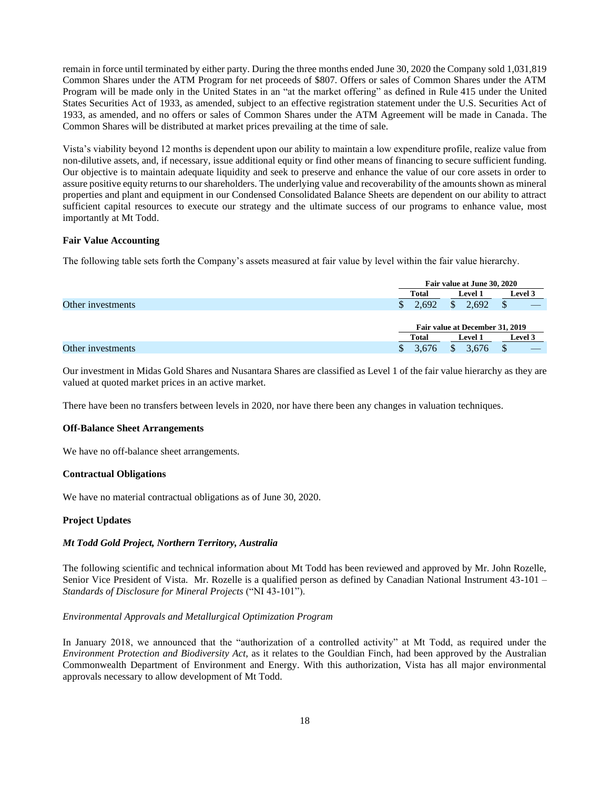remain in force until terminated by either party. During the three months ended June 30, 2020 the Company sold 1,031,819 Common Shares under the ATM Program for net proceeds of \$807. Offers or sales of Common Shares under the ATM Program will be made only in the United States in an "at the market offering" as defined in Rule 415 under the United States Securities Act of 1933, as amended, subject to an effective registration statement under the U.S. Securities Act of 1933, as amended, and no offers or sales of Common Shares under the ATM Agreement will be made in Canada. The Common Shares will be distributed at market prices prevailing at the time of sale.

Vista's viability beyond 12 months is dependent upon our ability to maintain a low expenditure profile, realize value from non-dilutive assets, and, if necessary, issue additional equity or find other means of financing to secure sufficient funding. Our objective is to maintain adequate liquidity and seek to preserve and enhance the value of our core assets in order to assure positive equity returns to our shareholders. The underlying value and recoverability of the amounts shown as mineral properties and plant and equipment in our Condensed Consolidated Balance Sheets are dependent on our ability to attract sufficient capital resources to execute our strategy and the ultimate success of our programs to enhance value, most importantly at Mt Todd.

## **Fair Value Accounting**

The following table sets forth the Company's assets measured at fair value by level within the fair value hierarchy.

|                   |              | Fair value at June 30, 2020     |                |  |  |  |  |
|-------------------|--------------|---------------------------------|----------------|--|--|--|--|
|                   | <b>Total</b> | <b>Level 1</b>                  | <b>Level 3</b> |  |  |  |  |
| Other investments | 2.692        | 2.692                           |                |  |  |  |  |
|                   |              |                                 |                |  |  |  |  |
|                   |              | Fair value at December 31, 2019 |                |  |  |  |  |
|                   | <b>Total</b> | <b>Level 1</b>                  |                |  |  |  |  |
| Other investments | 3.676        | 3.676                           |                |  |  |  |  |

Our investment in Midas Gold Shares and Nusantara Shares are classified as Level 1 of the fair value hierarchy as they are valued at quoted market prices in an active market.

There have been no transfers between levels in 2020, nor have there been any changes in valuation techniques.

## **Off-Balance Sheet Arrangements**

We have no off-balance sheet arrangements.

## **Contractual Obligations**

We have no material contractual obligations as of June 30, 2020.

## **Project Updates**

## *Mt Todd Gold Project, Northern Territory, Australia*

The following scientific and technical information about Mt Todd has been reviewed and approved by Mr. John Rozelle, Senior Vice President of Vista. Mr. Rozelle is a qualified person as defined by Canadian National Instrument 43-101 – *Standards of Disclosure for Mineral Projects* ("NI 43-101").

## *Environmental Approvals and Metallurgical Optimization Program*

In January 2018, we announced that the "authorization of a controlled activity" at Mt Todd, as required under the *Environment Protection and Biodiversity Act*, as it relates to the Gouldian Finch, had been approved by the Australian Commonwealth Department of Environment and Energy. With this authorization, Vista has all major environmental approvals necessary to allow development of Mt Todd.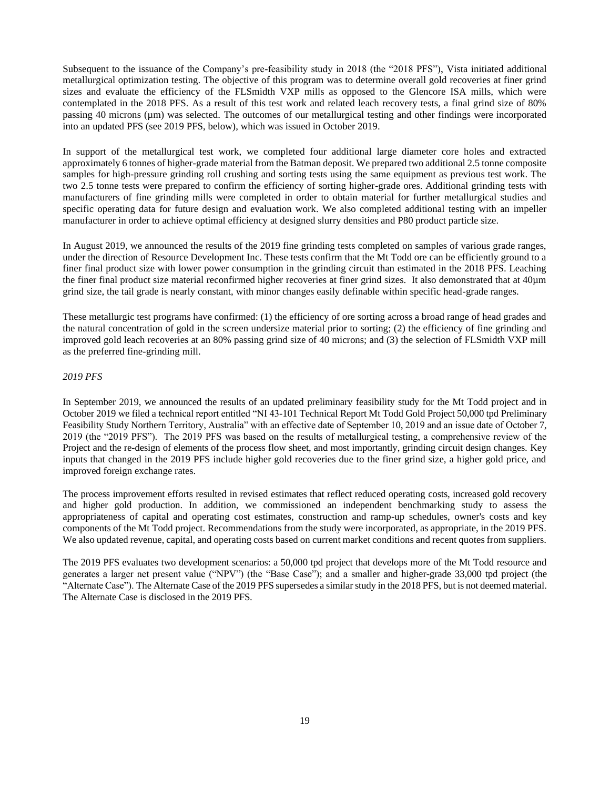Subsequent to the issuance of the Company's pre-feasibility study in 2018 (the "2018 PFS"), Vista initiated additional metallurgical optimization testing. The objective of this program was to determine overall gold recoveries at finer grind sizes and evaluate the efficiency of the FLSmidth VXP mills as opposed to the Glencore ISA mills, which were contemplated in the 2018 PFS. As a result of this test work and related leach recovery tests, a final grind size of 80% passing 40 microns (µm) was selected. The outcomes of our metallurgical testing and other findings were incorporated into an updated PFS (see 2019 PFS, below), which was issued in October 2019.

In support of the metallurgical test work, we completed four additional large diameter core holes and extracted approximately 6 tonnes of higher-grade material from the Batman deposit. We prepared two additional 2.5 tonne composite samples for high-pressure grinding roll crushing and sorting tests using the same equipment as previous test work. The two 2.5 tonne tests were prepared to confirm the efficiency of sorting higher-grade ores. Additional grinding tests with manufacturers of fine grinding mills were completed in order to obtain material for further metallurgical studies and specific operating data for future design and evaluation work. We also completed additional testing with an impeller manufacturer in order to achieve optimal efficiency at designed slurry densities and P80 product particle size.

In August 2019, we announced the results of the 2019 fine grinding tests completed on samples of various grade ranges, under the direction of Resource Development Inc. These tests confirm that the Mt Todd ore can be efficiently ground to a finer final product size with lower power consumption in the grinding circuit than estimated in the 2018 PFS. Leaching the finer final product size material reconfirmed higher recoveries at finer grind sizes. It also demonstrated that at 40µm grind size, the tail grade is nearly constant, with minor changes easily definable within specific head-grade ranges.

These metallurgic test programs have confirmed: (1) the efficiency of ore sorting across a broad range of head grades and the natural concentration of gold in the screen undersize material prior to sorting; (2) the efficiency of fine grinding and improved gold leach recoveries at an 80% passing grind size of 40 microns; and (3) the selection of FLSmidth VXP mill as the preferred fine-grinding mill.

#### *2019 PFS*

In September 2019, we announced the results of an updated preliminary feasibility study for the Mt Todd project and in October 2019 we filed a technical report entitled "NI 43-101 Technical Report Mt Todd Gold Project 50,000 tpd Preliminary Feasibility Study Northern Territory, Australia" with an effective date of September 10, 2019 and an issue date of October 7, 2019 (the "2019 PFS"). The 2019 PFS was based on the results of metallurgical testing, a comprehensive review of the Project and the re-design of elements of the process flow sheet, and most importantly, grinding circuit design changes. Key inputs that changed in the 2019 PFS include higher gold recoveries due to the finer grind size, a higher gold price, and improved foreign exchange rates.

The process improvement efforts resulted in revised estimates that reflect reduced operating costs, increased gold recovery and higher gold production. In addition, we commissioned an independent benchmarking study to assess the appropriateness of capital and operating cost estimates, construction and ramp-up schedules, owner's costs and key components of the Mt Todd project. Recommendations from the study were incorporated, as appropriate, in the 2019 PFS. We also updated revenue, capital, and operating costs based on current market conditions and recent quotes from suppliers.

The 2019 PFS evaluates two development scenarios: a 50,000 tpd project that develops more of the Mt Todd resource and generates a larger net present value ("NPV") (the "Base Case"); and a smaller and higher-grade 33,000 tpd project (the "Alternate Case"). The Alternate Case of the 2019 PFS supersedes a similar study in the 2018 PFS, but is not deemed material. The Alternate Case is disclosed in the 2019 PFS.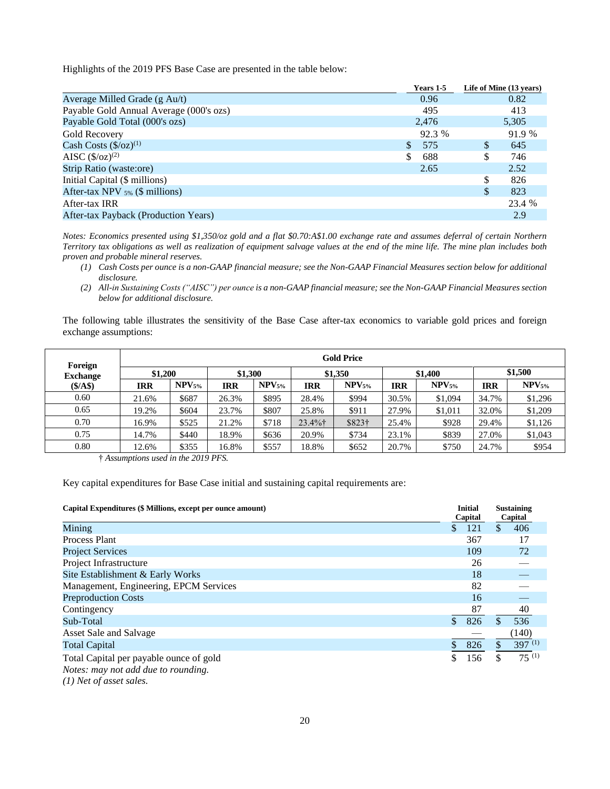Highlights of the 2019 PFS Base Case are presented in the table below:

| Years 1-5            |    | Life of Mine (13 years) |
|----------------------|----|-------------------------|
| 0.96                 |    | 0.82                    |
| 495                  |    | 413                     |
| 2,476                |    | 5,305                   |
| 92.3 %               |    | 91.9 %                  |
| 575<br><sup>\$</sup> | S  | 645                     |
| \$<br>688            | \$ | 746                     |
| 2.65                 |    | 2.52                    |
|                      | \$ | 826                     |
|                      | \$ | 823                     |
|                      |    | 23.4 %                  |
|                      |    | 2.9                     |
|                      |    |                         |

*Notes: Economics presented using \$1,350/oz gold and a flat \$0.70:A\$1.00 exchange rate and assumes deferral of certain Northern Territory tax obligations as well as realization of equipment salvage values at the end of the mine life. The mine plan includes both proven and probable mineral reserves.* 

- *(1) Cash Costs per ounce is a non-GAAP financial measure; see the Non-GAAP Financial Measures section below for additional disclosure.*
- *(2) All-in Sustaining Costs ("AISC") per ounce is a non-GAAP financial measure; see the Non-GAAP Financial Measures section below for additional disclosure.*

The following table illustrates the sensitivity of the Base Case after-tax economics to variable gold prices and foreign exchange assumptions:

| Foreign         | <b>Gold Price</b> |             |            |                   |            |             |            |                   |            |             |
|-----------------|-------------------|-------------|------------|-------------------|------------|-------------|------------|-------------------|------------|-------------|
| <b>Exchange</b> | \$1,200           |             | \$1,300    |                   | \$1,350    |             | \$1,400    |                   | \$1,500    |             |
| (S/AS)          | <b>IRR</b>        | $NPV_{5\%}$ | <b>IRR</b> | NPV <sub>5%</sub> | IRR        | $NPV_{5\%}$ | <b>IRR</b> | NPV <sub>5%</sub> | <b>IRR</b> | $NPV_{5\%}$ |
| 0.60            | 21.6%             | \$687       | 26.3%      | \$895             | 28.4%      | \$994       | 30.5%      | \$1,094           | 34.7%      | \$1,296     |
| 0.65            | 19.2%             | \$604       | 23.7%      | \$807             | 25.8%      | \$911       | 27.9%      | \$1,011           | 32.0%      | \$1,209     |
| 0.70            | 16.9%             | \$525       | 21.2%      | \$718             | $23.4\%$ † | \$823†      | 25.4%      | \$928             | 29.4%      | \$1,126     |
| 0.75            | 14.7%             | \$440       | 18.9%      | \$636             | 20.9%      | \$734       | 23.1%      | \$839             | 27.0%      | \$1,043     |
| 0.80            | 12.6%             | \$355       | 16.8%      | \$557             | 18.8%      | \$652       | 20.7%      | \$750             | 24.7%      | \$954       |

† *Assumptions used in the 2019 PFS.*

Key capital expenditures for Base Case initial and sustaining capital requirements are:

| Capital Expenditures (\$ Millions, except per ounce amount)                    |     | <b>Initial</b><br>Capital | <b>Sustaining</b><br>Capital |
|--------------------------------------------------------------------------------|-----|---------------------------|------------------------------|
| Mining                                                                         | \$  | 121                       | \$<br>406                    |
| Process Plant                                                                  |     | 367                       | 17                           |
| <b>Project Services</b>                                                        |     | 109                       | 72                           |
| Project Infrastructure                                                         |     | 26                        |                              |
| Site Establishment & Early Works                                               |     | 18                        |                              |
| Management, Engineering, EPCM Services                                         |     | 82                        |                              |
| <b>Preproduction Costs</b>                                                     |     | 16                        |                              |
| Contingency                                                                    |     | 87                        | 40                           |
| Sub-Total                                                                      | \$. | 826                       | 536                          |
| Asset Sale and Salvage                                                         |     |                           | (140)                        |
| <b>Total Capital</b>                                                           |     | 826                       | $397^{(1)}$                  |
| Total Capital per payable ounce of gold<br>Notes: may not add due to rounding. | \$  | 156                       | \$<br>$75^{(1)}$             |

*(1) Net of asset sales.*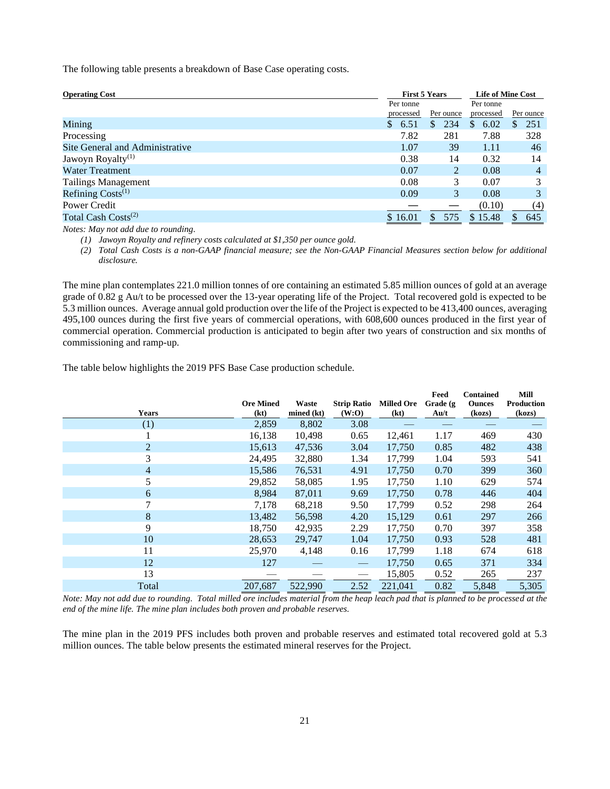The following table presents a breakdown of Base Case operating costs.

| <b>Operating Cost</b>           |              | <b>First 5 Years</b>   |    |           | <b>Life of Mine Cost</b> |           |                |                |
|---------------------------------|--------------|------------------------|----|-----------|--------------------------|-----------|----------------|----------------|
|                                 |              | Per tonne              |    |           |                          | Per tonne |                |                |
|                                 |              | Per ounce<br>processed |    | processed |                          | Per ounce |                |                |
| Mining                          | <sup>S</sup> | 6.51                   | S. | 234       | \$                       | 6.02      | $\mathbb{S}^-$ | 251            |
| Processing                      |              | 7.82                   |    | 281       |                          | 7.88      |                | 328            |
| Site General and Administrative |              | 1.07                   |    | 39        |                          | 1.11      |                | 46             |
| Jawoyn Royalty <sup>(1)</sup>   |              | 0.38                   |    | 14        |                          | 0.32      |                | 14             |
| <b>Water Treatment</b>          |              | 0.07                   |    | 2         |                          | 0.08      |                | $\overline{4}$ |
| <b>Tailings Management</b>      |              | 0.08                   |    | 3         |                          | 0.07      |                | 3              |
| Refining $Costs^{(1)}$          |              | 0.09                   |    | 3         |                          | 0.08      |                | 3              |
| Power Credit                    |              |                        |    |           |                          | (0.10)    |                | (4)            |
| Total Cash Costs <sup>(2)</sup> |              | \$16.01                |    | 575       |                          | \$15.48   |                | 645            |
| .                               |              |                        |    |           |                          |           |                |                |

*Notes: May not add due to rounding.* 

*(1) Jawoyn Royalty and refinery costs calculated at \$1,350 per ounce gold.* 

*(2) Total Cash Costs is a non-GAAP financial measure; see the Non-GAAP Financial Measures section below for additional disclosure.*

The mine plan contemplates 221.0 million tonnes of ore containing an estimated 5.85 million ounces of gold at an average grade of 0.82 g Au/t to be processed over the 13-year operating life of the Project. Total recovered gold is expected to be 5.3 million ounces. Average annual gold production over the life of the Project is expected to be 413,400 ounces, averaging 495,100 ounces during the first five years of commercial operations, with 608,600 ounces produced in the first year of commercial operation. Commercial production is anticipated to begin after two years of construction and six months of commissioning and ramp-up.

The table below highlights the 2019 PFS Base Case production schedule.

|                | <b>Ore Mined</b> | Waste      | <b>Strip Ratio</b> | <b>Milled Ore</b> | Feed<br>Grade (g)                  | <b>Contained</b><br><b>Ounces</b> | Mill<br>Production |
|----------------|------------------|------------|--------------------|-------------------|------------------------------------|-----------------------------------|--------------------|
| <b>Years</b>   | (kt)             | mined (kt) | (W:O)              | (kt)              | $\mathbf{A} \mathbf{u}/\mathbf{t}$ | (kozs)                            | (kozs)             |
| (1)            | 2,859            | 8,802      | 3.08               |                   |                                    |                                   |                    |
|                | 16,138           | 10,498     | 0.65               | 12,461            | 1.17                               | 469                               | 430                |
| $\overline{2}$ | 15,613           | 47,536     | 3.04               | 17,750            | 0.85                               | 482                               | 438                |
| 3              | 24,495           | 32,880     | 1.34               | 17,799            | 1.04                               | 593                               | 541                |
| 4              | 15,586           | 76,531     | 4.91               | 17,750            | 0.70                               | 399                               | 360                |
| 5              | 29,852           | 58,085     | 1.95               | 17,750            | 1.10                               | 629                               | 574                |
| 6              | 8,984            | 87,011     | 9.69               | 17,750            | 0.78                               | 446                               | 404                |
| 7              | 7,178            | 68,218     | 9.50               | 17,799            | 0.52                               | 298                               | 264                |
| 8              | 13,482           | 56,598     | 4.20               | 15,129            | 0.61                               | 297                               | 266                |
| 9              | 18,750           | 42,935     | 2.29               | 17,750            | 0.70                               | 397                               | 358                |
| 10             | 28,653           | 29,747     | 1.04               | 17,750            | 0.93                               | 528                               | 481                |
| 11             | 25,970           | 4,148      | 0.16               | 17,799            | 1.18                               | 674                               | 618                |
| 12             | 127              |            |                    | 17,750            | 0.65                               | 371                               | 334                |
| 13             |                  |            |                    | 15,805            | 0.52                               | 265                               | 237                |
| Total          | 207.687          | 522,990    | 2.52               | 221.041           | 0.82                               | 5,848                             | 5,305              |

*Note: May not add due to rounding. Total milled ore includes material from the heap leach pad that is planned to be processed at the end of the mine life. The mine plan includes both proven and probable reserves.*

The mine plan in the 2019 PFS includes both proven and probable reserves and estimated total recovered gold at 5.3 million ounces. The table below presents the estimated mineral reserves for the Project.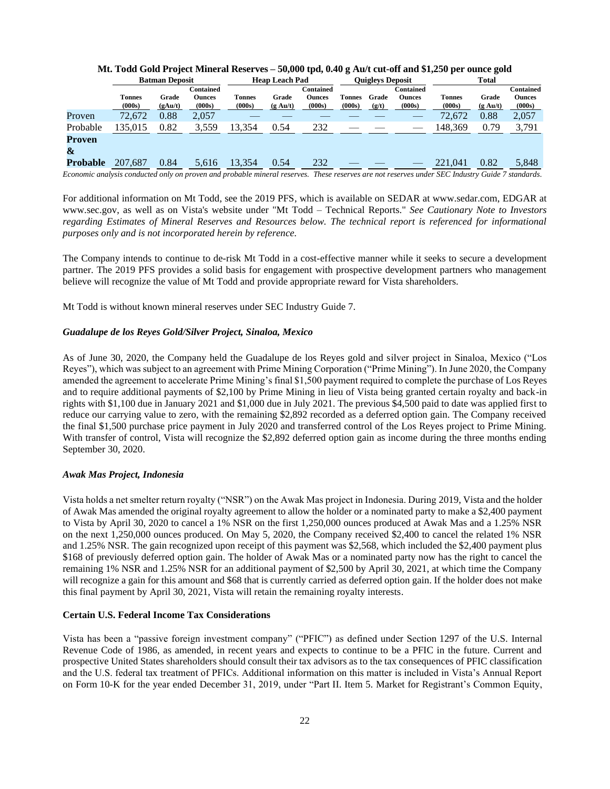|             | <b>Batman Deposit</b>   |                  |                                      | <b>Heap Leach Pad</b> |                             |                                      | <b>Ouigleys Deposit</b> |                |                                             | <b>Total</b>            |                             |                                             |
|-------------|-------------------------|------------------|--------------------------------------|-----------------------|-----------------------------|--------------------------------------|-------------------------|----------------|---------------------------------------------|-------------------------|-----------------------------|---------------------------------------------|
|             | <b>Tonnes</b><br>(000s) | Grade<br>(gAu/t) | Contained<br><b>Ounces</b><br>(000s) | Tonnes<br>(000s)      | Grade<br>$(g \text{ Au}/t)$ | Contained<br><b>Ounces</b><br>(000s) | <b>Tonnes</b><br>(000s) | Grade<br>(g/t) | <b>Contained</b><br><b>Ounces</b><br>(000s) | <b>Tonnes</b><br>(000s) | Grade<br>$(g \text{ Au/t})$ | <b>Contained</b><br><b>Ounces</b><br>(000s) |
| Proven      | 72,672                  | 0.88             | 2,057                                |                       |                             |                                      |                         |                |                                             | 72,672                  | 0.88                        | 2,057                                       |
| Probable    | 135.015                 | 0.82             | 3,559                                | 13.354                | 0.54                        | 232                                  |                         |                |                                             | 148.369                 | 0.79                        | 3,791                                       |
| Proven<br>& |                         |                  |                                      |                       |                             |                                      |                         |                |                                             |                         |                             |                                             |
| Probable    | 207,687                 | 0.84             | 5,616                                | 13,354                | 0.54                        | 232                                  |                         |                |                                             | 221,041                 | 0.82                        | 5,848                                       |

## **Mt. Todd Gold Project Mineral Reserves – 50,000 tpd, 0.40 g Au/t cut-off and \$1,250 per ounce gold**

*Economic analysis conducted only on proven and probable mineral reserves. These reserves are not reserves under SEC Industry Guide 7 standards.*

For additional information on Mt Todd, see the 2019 PFS, which is available on SEDAR at www.sedar.com, EDGAR at www.sec.gov, as well as on Vista's website under "Mt Todd – Technical Reports." *See Cautionary Note to Investors*  regarding Estimates of Mineral Reserves and Resources below. The technical report is referenced for informational *purposes only and is not incorporated herein by reference.*

The Company intends to continue to de-risk Mt Todd in a cost-effective manner while it seeks to secure a development partner. The 2019 PFS provides a solid basis for engagement with prospective development partners who management believe will recognize the value of Mt Todd and provide appropriate reward for Vista shareholders.

Mt Todd is without known mineral reserves under SEC Industry Guide 7.

#### *Guadalupe de los Reyes Gold/Silver Project, Sinaloa, Mexico*

As of June 30, 2020, the Company held the Guadalupe de los Reyes gold and silver project in Sinaloa, Mexico ("Los Reyes"), which was subject to an agreement with Prime Mining Corporation ("Prime Mining"). In June 2020, the Company amended the agreement to accelerate Prime Mining's final \$1,500 payment required to complete the purchase of Los Reyes and to require additional payments of \$2,100 by Prime Mining in lieu of Vista being granted certain royalty and back-in rights with \$1,100 due in January 2021 and \$1,000 due in July 2021. The previous \$4,500 paid to date was applied first to reduce our carrying value to zero, with the remaining \$2,892 recorded as a deferred option gain. The Company received the final \$1,500 purchase price payment in July 2020 and transferred control of the Los Reyes project to Prime Mining. With transfer of control, Vista will recognize the \$2,892 deferred option gain as income during the three months ending September 30, 2020.

## *Awak Mas Project, Indonesia*

Vista holds a net smelter return royalty ("NSR") on the Awak Mas project in Indonesia. During 2019, Vista and the holder of Awak Mas amended the original royalty agreement to allow the holder or a nominated party to make a \$2,400 payment to Vista by April 30, 2020 to cancel a 1% NSR on the first 1,250,000 ounces produced at Awak Mas and a 1.25% NSR on the next 1,250,000 ounces produced. On May 5, 2020, the Company received \$2,400 to cancel the related 1% NSR and 1.25% NSR. The gain recognized upon receipt of this payment was \$2,568, which included the \$2,400 payment plus \$168 of previously deferred option gain. The holder of Awak Mas or a nominated party now has the right to cancel the remaining 1% NSR and 1.25% NSR for an additional payment of \$2,500 by April 30, 2021, at which time the Company will recognize a gain for this amount and \$68 that is currently carried as deferred option gain. If the holder does not make this final payment by April 30, 2021, Vista will retain the remaining royalty interests.

#### **Certain U.S. Federal Income Tax Considerations**

Vista has been a "passive foreign investment company" ("PFIC") as defined under Section 1297 of the U.S. Internal Revenue Code of 1986, as amended, in recent years and expects to continue to be a PFIC in the future. Current and prospective United States shareholders should consult their tax advisors as to the tax consequences of PFIC classification and the U.S. federal tax treatment of PFICs. Additional information on this matter is included in Vista's Annual Report on Form 10-K for the year ended December 31, 2019, under "Part II. Item 5. Market for Registrant's Common Equity,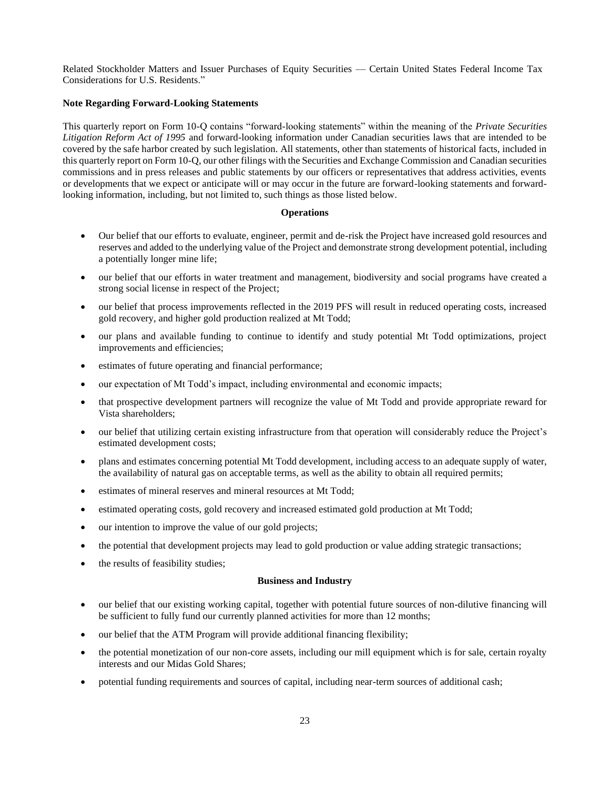Related Stockholder Matters and Issuer Purchases of Equity Securities — Certain United States Federal Income Tax Considerations for U.S. Residents."

## **Note Regarding Forward-Looking Statements**

This quarterly report on Form 10-Q contains "forward-looking statements" within the meaning of the *Private Securities Litigation Reform Act of 1995* and forward-looking information under Canadian securities laws that are intended to be covered by the safe harbor created by such legislation. All statements, other than statements of historical facts, included in this quarterly report on Form 10-Q, our other filings with the Securities and Exchange Commission and Canadian securities commissions and in press releases and public statements by our officers or representatives that address activities, events or developments that we expect or anticipate will or may occur in the future are forward-looking statements and forwardlooking information, including, but not limited to, such things as those listed below.

## **Operations**

- Our belief that our efforts to evaluate, engineer, permit and de-risk the Project have increased gold resources and reserves and added to the underlying value of the Project and demonstrate strong development potential, including a potentially longer mine life;
- our belief that our efforts in water treatment and management, biodiversity and social programs have created a strong social license in respect of the Project;
- our belief that process improvements reflected in the 2019 PFS will result in reduced operating costs, increased gold recovery, and higher gold production realized at Mt Todd;
- our plans and available funding to continue to identify and study potential Mt Todd optimizations, project improvements and efficiencies;
- estimates of future operating and financial performance;
- our expectation of Mt Todd's impact, including environmental and economic impacts;
- that prospective development partners will recognize the value of Mt Todd and provide appropriate reward for Vista shareholders;
- our belief that utilizing certain existing infrastructure from that operation will considerably reduce the Project's estimated development costs;
- plans and estimates concerning potential Mt Todd development, including access to an adequate supply of water, the availability of natural gas on acceptable terms, as well as the ability to obtain all required permits;
- estimates of mineral reserves and mineral resources at Mt Todd;
- estimated operating costs, gold recovery and increased estimated gold production at Mt Todd;
- our intention to improve the value of our gold projects;
- the potential that development projects may lead to gold production or value adding strategic transactions;
- the results of feasibility studies;

## **Business and Industry**

- our belief that our existing working capital, together with potential future sources of non-dilutive financing will be sufficient to fully fund our currently planned activities for more than 12 months;
- our belief that the ATM Program will provide additional financing flexibility;
- the potential monetization of our non-core assets, including our mill equipment which is for sale, certain royalty interests and our Midas Gold Shares;
- potential funding requirements and sources of capital, including near-term sources of additional cash;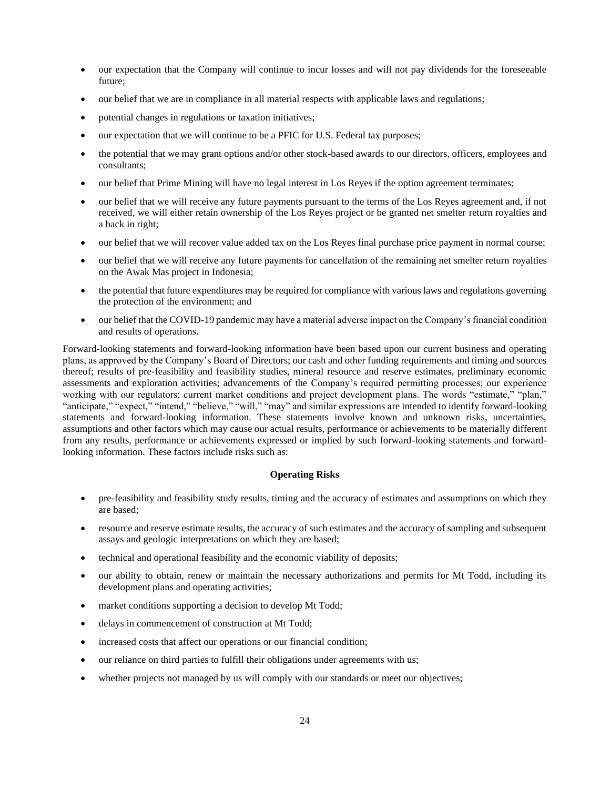- our expectation that the Company will continue to incur losses and will not pay dividends for the foreseeable future;
- our belief that we are in compliance in all material respects with applicable laws and regulations;
- potential changes in regulations or taxation initiatives;
- our expectation that we will continue to be a PFIC for U.S. Federal tax purposes;
- the potential that we may grant options and/or other stock-based awards to our directors, officers, employees and consultants;
- our belief that Prime Mining will have no legal interest in Los Reyes if the option agreement terminates;
- our belief that we will receive any future payments pursuant to the terms of the Los Reyes agreement and, if not received, we will either retain ownership of the Los Reyes project or be granted net smelter return royalties and a back in right;
- our belief that we will recover value added tax on the Los Reyes final purchase price payment in normal course;
- our belief that we will receive any future payments for cancellation of the remaining net smelter return royalties on the Awak Mas project in Indonesia;
- the potential that future expenditures may be required for compliance with various laws and regulations governing the protection of the environment; and
- our belief that the COVID-19 pandemic may have a material adverse impact on the Company's financial condition and results of operations.

Forward-looking statements and forward-looking information have been based upon our current business and operating plans, as approved by the Company's Board of Directors; our cash and other funding requirements and timing and sources thereof; results of pre-feasibility and feasibility studies, mineral resource and reserve estimates, preliminary economic assessments and exploration activities; advancements of the Company's required permitting processes; our experience working with our regulators; current market conditions and project development plans. The words "estimate," "plan," "anticipate," "expect," "intend," "believe," "will," "may" and similar expressions are intended to identify forward-looking statements and forward-looking information. These statements involve known and unknown risks, uncertainties, assumptions and other factors which may cause our actual results, performance or achievements to be materially different from any results, performance or achievements expressed or implied by such forward-looking statements and forwardlooking information. These factors include risks such as:

## **Operating Risks**

- pre-feasibility and feasibility study results, timing and the accuracy of estimates and assumptions on which they are based;
- resource and reserve estimate results, the accuracy of such estimates and the accuracy of sampling and subsequent assays and geologic interpretations on which they are based;
- technical and operational feasibility and the economic viability of deposits;
- our ability to obtain, renew or maintain the necessary authorizations and permits for Mt Todd, including its development plans and operating activities;
- market conditions supporting a decision to develop Mt Todd;
- delays in commencement of construction at Mt Todd;
- increased costs that affect our operations or our financial condition;
- our reliance on third parties to fulfill their obligations under agreements with us;
- whether projects not managed by us will comply with our standards or meet our objectives;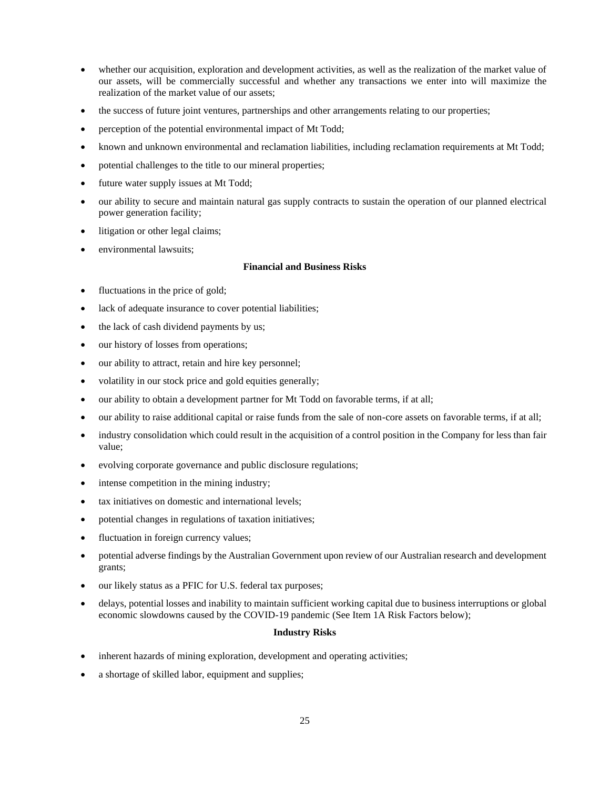- whether our acquisition, exploration and development activities, as well as the realization of the market value of our assets, will be commercially successful and whether any transactions we enter into will maximize the realization of the market value of our assets;
- the success of future joint ventures, partnerships and other arrangements relating to our properties;
- perception of the potential environmental impact of Mt Todd;
- known and unknown environmental and reclamation liabilities, including reclamation requirements at Mt Todd;
- potential challenges to the title to our mineral properties;
- future water supply issues at Mt Todd;
- our ability to secure and maintain natural gas supply contracts to sustain the operation of our planned electrical power generation facility;
- litigation or other legal claims;
- environmental lawsuits;

### **Financial and Business Risks**

- fluctuations in the price of gold;
- lack of adequate insurance to cover potential liabilities;
- the lack of cash dividend payments by us;
- our history of losses from operations;
- our ability to attract, retain and hire key personnel;
- volatility in our stock price and gold equities generally;
- our ability to obtain a development partner for Mt Todd on favorable terms, if at all;
- our ability to raise additional capital or raise funds from the sale of non-core assets on favorable terms, if at all;
- industry consolidation which could result in the acquisition of a control position in the Company for less than fair value;
- evolving corporate governance and public disclosure regulations;
- intense competition in the mining industry;
- tax initiatives on domestic and international levels;
- potential changes in regulations of taxation initiatives;
- fluctuation in foreign currency values;
- potential adverse findings by the Australian Government upon review of our Australian research and development grants;
- our likely status as a PFIC for U.S. federal tax purposes;
- delays, potential losses and inability to maintain sufficient working capital due to business interruptions or global economic slowdowns caused by the COVID-19 pandemic (See Item 1A Risk Factors below);

#### **Industry Risks**

- inherent hazards of mining exploration, development and operating activities;
- a shortage of skilled labor, equipment and supplies;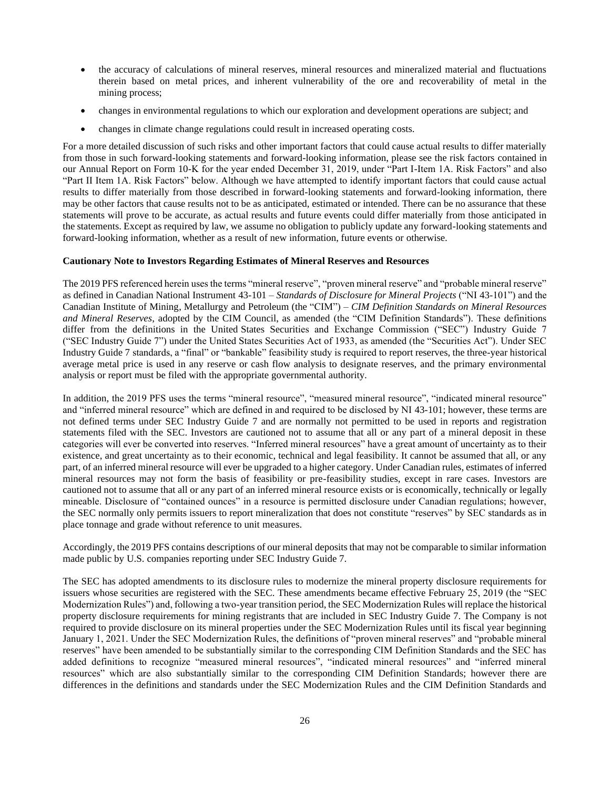- the accuracy of calculations of mineral reserves, mineral resources and mineralized material and fluctuations therein based on metal prices, and inherent vulnerability of the ore and recoverability of metal in the mining process;
- changes in environmental regulations to which our exploration and development operations are subject; and
- changes in climate change regulations could result in increased operating costs.

For a more detailed discussion of such risks and other important factors that could cause actual results to differ materially from those in such forward-looking statements and forward-looking information, please see the risk factors contained in our Annual Report on Form 10-K for the year ended December 31, 2019, under "Part I-Item 1A. Risk Factors" and also "Part II Item 1A. Risk Factors" below. Although we have attempted to identify important factors that could cause actual results to differ materially from those described in forward-looking statements and forward-looking information, there may be other factors that cause results not to be as anticipated, estimated or intended. There can be no assurance that these statements will prove to be accurate, as actual results and future events could differ materially from those anticipated in the statements. Except as required by law, we assume no obligation to publicly update any forward-looking statements and forward-looking information, whether as a result of new information, future events or otherwise.

#### **Cautionary Note to Investors Regarding Estimates of Mineral Reserves and Resources**

The 2019 PFS referenced herein uses the terms "mineral reserve", "proven mineral reserve" and "probable mineral reserve" as defined in Canadian National Instrument 43-101 – *Standards of Disclosure for Mineral Projects* ("NI 43-101") and the Canadian Institute of Mining, Metallurgy and Petroleum (the "CIM") – *CIM Definition Standards on Mineral Resources and Mineral Reserves*, adopted by the CIM Council, as amended (the "CIM Definition Standards"). These definitions differ from the definitions in the United States Securities and Exchange Commission ("SEC") Industry Guide 7 ("SEC Industry Guide 7") under the United States Securities Act of 1933, as amended (the "Securities Act"). Under SEC Industry Guide 7 standards, a "final" or "bankable" feasibility study is required to report reserves, the three-year historical average metal price is used in any reserve or cash flow analysis to designate reserves, and the primary environmental analysis or report must be filed with the appropriate governmental authority.

In addition, the 2019 PFS uses the terms "mineral resource", "measured mineral resource", "indicated mineral resource" and "inferred mineral resource" which are defined in and required to be disclosed by NI 43-101; however, these terms are not defined terms under SEC Industry Guide 7 and are normally not permitted to be used in reports and registration statements filed with the SEC. Investors are cautioned not to assume that all or any part of a mineral deposit in these categories will ever be converted into reserves. "Inferred mineral resources" have a great amount of uncertainty as to their existence, and great uncertainty as to their economic, technical and legal feasibility. It cannot be assumed that all, or any part, of an inferred mineral resource will ever be upgraded to a higher category. Under Canadian rules, estimates of inferred mineral resources may not form the basis of feasibility or pre-feasibility studies, except in rare cases. Investors are cautioned not to assume that all or any part of an inferred mineral resource exists or is economically, technically or legally mineable. Disclosure of "contained ounces" in a resource is permitted disclosure under Canadian regulations; however, the SEC normally only permits issuers to report mineralization that does not constitute "reserves" by SEC standards as in place tonnage and grade without reference to unit measures.

Accordingly, the 2019 PFS contains descriptions of our mineral deposits that may not be comparable to similar information made public by U.S. companies reporting under SEC Industry Guide 7.

The SEC has adopted amendments to its disclosure rules to modernize the mineral property disclosure requirements for issuers whose securities are registered with the SEC. These amendments became effective February 25, 2019 (the "SEC Modernization Rules") and, following a two-year transition period, the SEC Modernization Rules will replace the historical property disclosure requirements for mining registrants that are included in SEC Industry Guide 7. The Company is not required to provide disclosure on its mineral properties under the SEC Modernization Rules until its fiscal year beginning January 1, 2021. Under the SEC Modernization Rules, the definitions of "proven mineral reserves" and "probable mineral reserves" have been amended to be substantially similar to the corresponding CIM Definition Standards and the SEC has added definitions to recognize "measured mineral resources", "indicated mineral resources" and "inferred mineral resources" which are also substantially similar to the corresponding CIM Definition Standards; however there are differences in the definitions and standards under the SEC Modernization Rules and the CIM Definition Standards and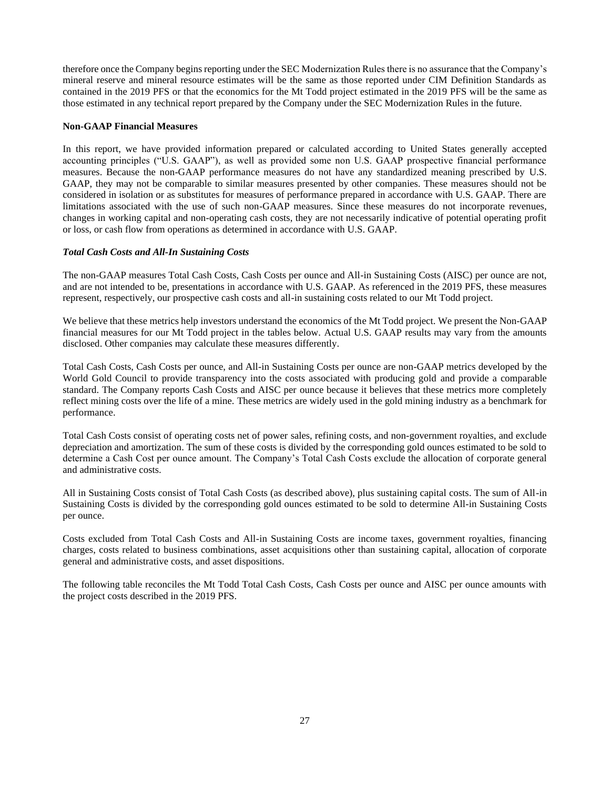therefore once the Company begins reporting under the SEC Modernization Rules there is no assurance that the Company's mineral reserve and mineral resource estimates will be the same as those reported under CIM Definition Standards as contained in the 2019 PFS or that the economics for the Mt Todd project estimated in the 2019 PFS will be the same as those estimated in any technical report prepared by the Company under the SEC Modernization Rules in the future.

## **Non-GAAP Financial Measures**

In this report, we have provided information prepared or calculated according to United States generally accepted accounting principles ("U.S. GAAP"), as well as provided some non U.S. GAAP prospective financial performance measures. Because the non-GAAP performance measures do not have any standardized meaning prescribed by U.S. GAAP, they may not be comparable to similar measures presented by other companies. These measures should not be considered in isolation or as substitutes for measures of performance prepared in accordance with U.S. GAAP. There are limitations associated with the use of such non-GAAP measures. Since these measures do not incorporate revenues, changes in working capital and non-operating cash costs, they are not necessarily indicative of potential operating profit or loss, or cash flow from operations as determined in accordance with U.S. GAAP.

## *Total Cash Costs and All-In Sustaining Costs*

The non-GAAP measures Total Cash Costs, Cash Costs per ounce and All-in Sustaining Costs (AISC) per ounce are not, and are not intended to be, presentations in accordance with U.S. GAAP. As referenced in the 2019 PFS, these measures represent, respectively, our prospective cash costs and all-in sustaining costs related to our Mt Todd project.

We believe that these metrics help investors understand the economics of the Mt Todd project. We present the Non-GAAP financial measures for our Mt Todd project in the tables below. Actual U.S. GAAP results may vary from the amounts disclosed. Other companies may calculate these measures differently.

Total Cash Costs, Cash Costs per ounce, and All-in Sustaining Costs per ounce are non-GAAP metrics developed by the World Gold Council to provide transparency into the costs associated with producing gold and provide a comparable standard. The Company reports Cash Costs and AISC per ounce because it believes that these metrics more completely reflect mining costs over the life of a mine. These metrics are widely used in the gold mining industry as a benchmark for performance.

Total Cash Costs consist of operating costs net of power sales, refining costs, and non-government royalties, and exclude depreciation and amortization. The sum of these costs is divided by the corresponding gold ounces estimated to be sold to determine a Cash Cost per ounce amount. The Company's Total Cash Costs exclude the allocation of corporate general and administrative costs.

All in Sustaining Costs consist of Total Cash Costs (as described above), plus sustaining capital costs. The sum of All-in Sustaining Costs is divided by the corresponding gold ounces estimated to be sold to determine All-in Sustaining Costs per ounce.

Costs excluded from Total Cash Costs and All-in Sustaining Costs are income taxes, government royalties, financing charges, costs related to business combinations, asset acquisitions other than sustaining capital, allocation of corporate general and administrative costs, and asset dispositions.

The following table reconciles the Mt Todd Total Cash Costs, Cash Costs per ounce and AISC per ounce amounts with the project costs described in the 2019 PFS.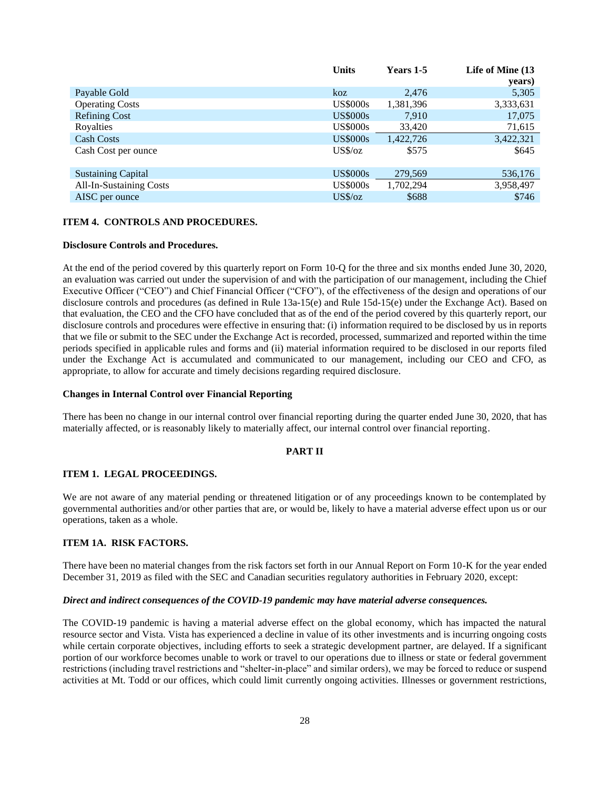|                                | <b>Units</b>    | Years 1-5 | Life of Mine (13 |
|--------------------------------|-----------------|-----------|------------------|
|                                |                 |           | years)           |
| Payable Gold                   | koz             | 2,476     | 5,305            |
| <b>Operating Costs</b>         | <b>US\$000s</b> | 1,381,396 | 3,333,631        |
| <b>Refining Cost</b>           | <b>US\$000s</b> | 7.910     | 17,075           |
| Royalties                      | <b>US\$000s</b> | 33,420    | 71,615           |
| <b>Cash Costs</b>              | <b>US\$000s</b> | 1,422,726 | 3,422,321        |
| Cash Cost per ounce            | $US\%$ /oz      | \$575     | \$645            |
|                                |                 |           |                  |
| <b>Sustaining Capital</b>      | <b>US\$000s</b> | 279,569   | 536,176          |
| <b>All-In-Sustaining Costs</b> | <b>US\$000s</b> | 1,702,294 | 3,958,497        |
| AISC per ounce                 | $US\%$ /oz      | \$688     | \$746            |
|                                |                 |           |                  |

#### <span id="page-27-0"></span>**ITEM 4. CONTROLS AND PROCEDURES.**

#### **Disclosure Controls and Procedures.**

At the end of the period covered by this quarterly report on Form 10-Q for the three and six months ended June 30, 2020, an evaluation was carried out under the supervision of and with the participation of our management, including the Chief Executive Officer ("CEO") and Chief Financial Officer ("CFO"), of the effectiveness of the design and operations of our disclosure controls and procedures (as defined in Rule 13a-15(e) and Rule 15d-15(e) under the Exchange Act). Based on that evaluation, the CEO and the CFO have concluded that as of the end of the period covered by this quarterly report, our disclosure controls and procedures were effective in ensuring that: (i) information required to be disclosed by us in reports that we file or submit to the SEC under the Exchange Act is recorded, processed, summarized and reported within the time periods specified in applicable rules and forms and (ii) material information required to be disclosed in our reports filed under the Exchange Act is accumulated and communicated to our management, including our CEO and CFO, as appropriate, to allow for accurate and timely decisions regarding required disclosure.

#### **Changes in Internal Control over Financial Reporting**

There has been no change in our internal control over financial reporting during the quarter ended June 30, 2020, that has materially affected, or is reasonably likely to materially affect, our internal control over financial reporting.

## <span id="page-27-2"></span><span id="page-27-1"></span>**PART II**

#### **ITEM 1. LEGAL PROCEEDINGS.**

We are not aware of any material pending or threatened litigation or of any proceedings known to be contemplated by governmental authorities and/or other parties that are, or would be, likely to have a material adverse effect upon us or our operations, taken as a whole.

### <span id="page-27-3"></span>**ITEM 1A. RISK FACTORS.**

There have been no material changes from the risk factors set forth in our Annual Report on Form 10-K for the year ended December 31, 2019 as filed with the SEC and Canadian securities regulatory authorities in February 2020, except:

#### *Direct and indirect consequences of the COVID-19 pandemic may have material adverse consequences.*

The COVID-19 pandemic is having a material adverse effect on the global economy, which has impacted the natural resource sector and Vista. Vista has experienced a decline in value of its other investments and is incurring ongoing costs while certain corporate objectives, including efforts to seek a strategic development partner, are delayed. If a significant portion of our workforce becomes unable to work or travel to our operations due to illness or state or federal government restrictions (including travel restrictions and "shelter-in-place" and similar orders), we may be forced to reduce or suspend activities at Mt. Todd or our offices, which could limit currently ongoing activities. Illnesses or government restrictions,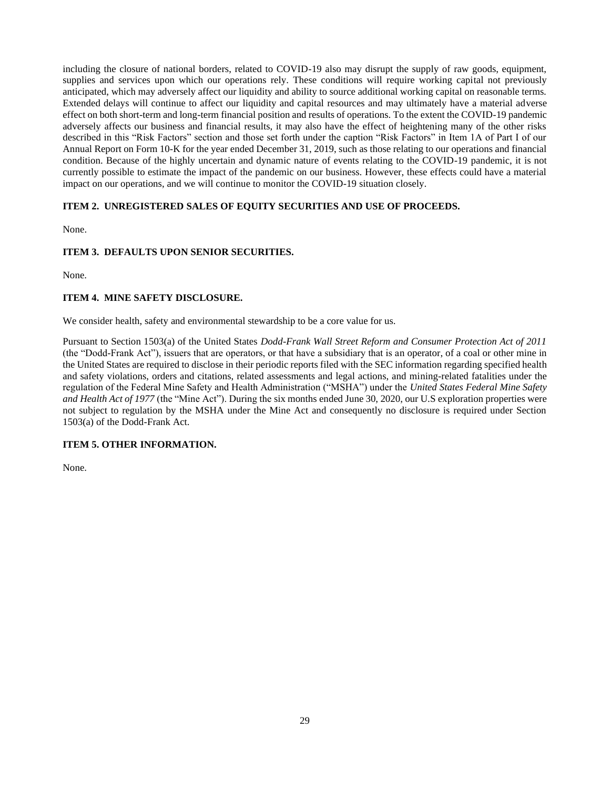including the closure of national borders, related to COVID-19 also may disrupt the supply of raw goods, equipment, supplies and services upon which our operations rely. These conditions will require working capital not previously anticipated, which may adversely affect our liquidity and ability to source additional working capital on reasonable terms. Extended delays will continue to affect our liquidity and capital resources and may ultimately have a material adverse effect on both short-term and long-term financial position and results of operations. To the extent the COVID-19 pandemic adversely affects our business and financial results, it may also have the effect of heightening many of the other risks described in this "Risk Factors" section and those set forth under the caption "Risk Factors" in Item 1A of Part I of our Annual Report on Form 10-K for the year ended December 31, 2019, such as those relating to our operations and financial condition. Because of the highly uncertain and dynamic nature of events relating to the COVID-19 pandemic, it is not currently possible to estimate the impact of the pandemic on our business. However, these effects could have a material impact on our operations, and we will continue to monitor the COVID-19 situation closely.

## <span id="page-28-0"></span>**ITEM 2. UNREGISTERED SALES OF EQUITY SECURITIES AND USE OF PROCEEDS.**

None.

## <span id="page-28-1"></span>**ITEM 3. DEFAULTS UPON SENIOR SECURITIES.**

None.

## <span id="page-28-2"></span>**ITEM 4. MINE SAFETY DISCLOSURE.**

We consider health, safety and environmental stewardship to be a core value for us.

Pursuant to Section 1503(a) of the United States *Dodd-Frank Wall Street Reform and Consumer Protection Act of 2011* (the "Dodd-Frank Act"), issuers that are operators, or that have a subsidiary that is an operator, of a coal or other mine in the United States are required to disclose in their periodic reports filed with the SEC information regarding specified health and safety violations, orders and citations, related assessments and legal actions, and mining-related fatalities under the regulation of the Federal Mine Safety and Health Administration ("MSHA") under the *United States Federal Mine Safety and Health Act of 1977* (the "Mine Act"). During the six months ended June 30, 2020, our U.S exploration properties were not subject to regulation by the MSHA under the Mine Act and consequently no disclosure is required under Section 1503(a) of the Dodd-Frank Act.

## <span id="page-28-3"></span>**ITEM 5. OTHER INFORMATION.**

None.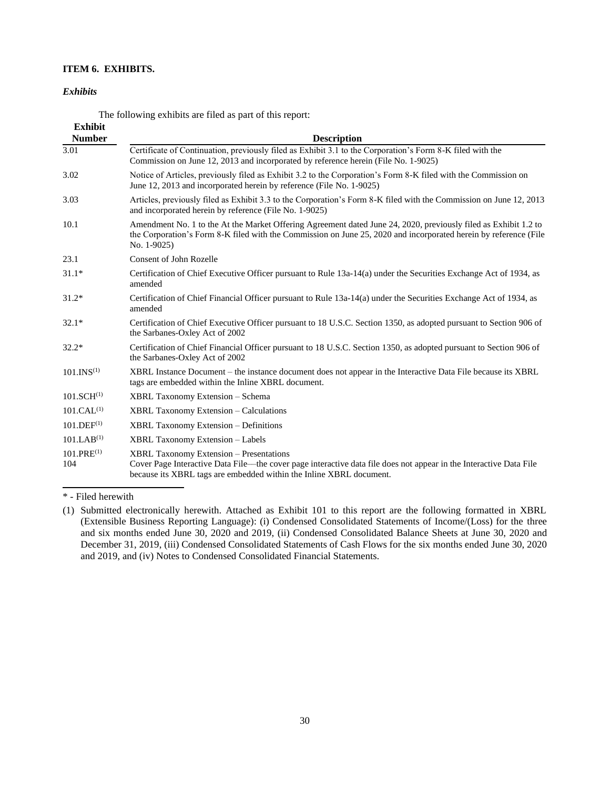## **ITEM 6. EXHIBITS.**

#### *Exhibits*

<span id="page-29-0"></span>The following exhibits are filed as part of this report: **Exhibit**

| Exhibit<br><b>Number</b> | <b>Description</b>                                                                                                                                                                                                                                 |
|--------------------------|----------------------------------------------------------------------------------------------------------------------------------------------------------------------------------------------------------------------------------------------------|
| 3.01                     | Certificate of Continuation, previously filed as Exhibit 3.1 to the Corporation's Form 8-K filed with the<br>Commission on June 12, 2013 and incorporated by reference herein (File No. 1-9025)                                                    |
| 3.02                     | Notice of Articles, previously filed as Exhibit 3.2 to the Corporation's Form 8-K filed with the Commission on<br>June 12, 2013 and incorporated herein by reference (File No. 1-9025)                                                             |
| 3.03                     | Articles, previously filed as Exhibit 3.3 to the Corporation's Form 8-K filed with the Commission on June 12, 2013<br>and incorporated herein by reference (File No. 1-9025)                                                                       |
| 10.1                     | Amendment No. 1 to the At the Market Offering Agreement dated June 24, 2020, previously filed as Exhibit 1.2 to<br>the Corporation's Form 8-K filed with the Commission on June 25, 2020 and incorporated herein by reference (File<br>No. 1-9025) |
| 23.1                     | Consent of John Rozelle                                                                                                                                                                                                                            |
| $31.1*$                  | Certification of Chief Executive Officer pursuant to Rule 13a-14(a) under the Securities Exchange Act of 1934, as<br>amended                                                                                                                       |
| $31.2*$                  | Certification of Chief Financial Officer pursuant to Rule 13a-14(a) under the Securities Exchange Act of 1934, as<br>amended                                                                                                                       |
| $32.1*$                  | Certification of Chief Executive Officer pursuant to 18 U.S.C. Section 1350, as adopted pursuant to Section 906 of<br>the Sarbanes-Oxley Act of 2002                                                                                               |
| $32.2*$                  | Certification of Chief Financial Officer pursuant to 18 U.S.C. Section 1350, as adopted pursuant to Section 906 of<br>the Sarbanes-Oxley Act of 2002                                                                                               |
| 101.INS <sup>(1)</sup>   | XBRL Instance Document – the instance document does not appear in the Interactive Data File because its XBRL<br>tags are embedded within the Inline XBRL document.                                                                                 |
| 101.SCH <sup>(1)</sup>   | XBRL Taxonomy Extension - Schema                                                                                                                                                                                                                   |
| 101.CAL <sup>(1)</sup>   | <b>XBRL Taxonomy Extension – Calculations</b>                                                                                                                                                                                                      |
| $101.$ DEF $^{(1)}$      | <b>XBRL Taxonomy Extension - Definitions</b>                                                                                                                                                                                                       |
| 101.LAB <sup>(1)</sup>   | <b>XBRL Taxonomy Extension - Labels</b>                                                                                                                                                                                                            |
| $101.PRE^{(1)}$<br>104   | <b>XBRL Taxonomy Extension - Presentations</b><br>Cover Page Interactive Data File—the cover page interactive data file does not appear in the Interactive Data File<br>because its XBRL tags are embedded within the Inline XBRL document.        |

\* - Filed herewith

<sup>(1)</sup> Submitted electronically herewith. Attached as Exhibit 101 to this report are the following formatted in XBRL (Extensible Business Reporting Language): (i) Condensed Consolidated Statements of Income/(Loss) for the three and six months ended June 30, 2020 and 2019, (ii) Condensed Consolidated Balance Sheets at June 30, 2020 and December 31, 2019, (iii) Condensed Consolidated Statements of Cash Flows for the six months ended June 30, 2020 and 2019, and (iv) Notes to Condensed Consolidated Financial Statements.